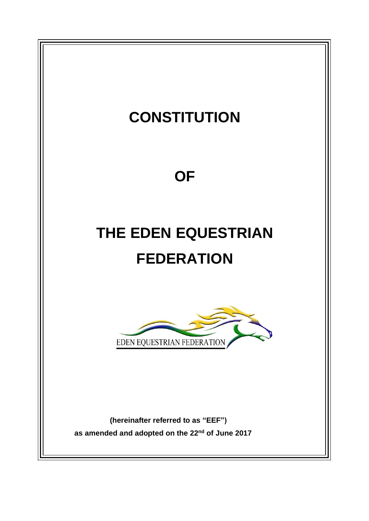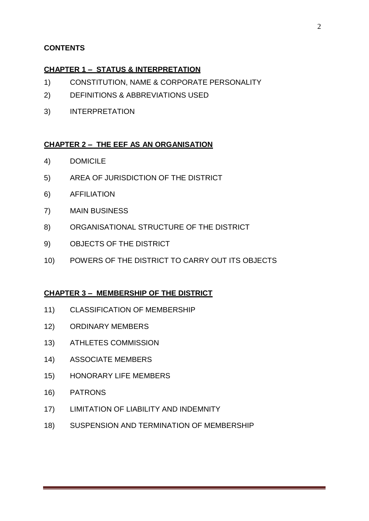## **CONTENTS**

## **CHAPTER 1 – STATUS & INTERPRETATION**

- 1) CONSTITUTION, NAME & CORPORATE PERSONALITY
- 2) DEFINITIONS & ABBREVIATIONS USED
- 3) INTERPRETATION

#### **CHAPTER 2 – THE EEF AS AN ORGANISATION**

- 4) DOMICILE
- 5) AREA OF JURISDICTION OF THE DISTRICT
- 6) AFFILIATION
- 7) MAIN BUSINESS
- 8) ORGANISATIONAL STRUCTURE OF THE DISTRICT
- 9) OBJECTS OF THE DISTRICT
- 10) POWERS OF THE DISTRICT TO CARRY OUT ITS OBJECTS

#### **CHAPTER 3 – MEMBERSHIP OF THE DISTRICT**

- 11) CLASSIFICATION OF MEMBERSHIP
- 12) ORDINARY MEMBERS
- 13) ATHLETES COMMISSION
- 14) ASSOCIATE MEMBERS
- 15) HONORARY LIFE MEMBERS
- 16) PATRONS
- 17) LIMITATION OF LIABILITY AND INDEMNITY
- 18) SUSPENSION AND TERMINATION OF MEMBERSHIP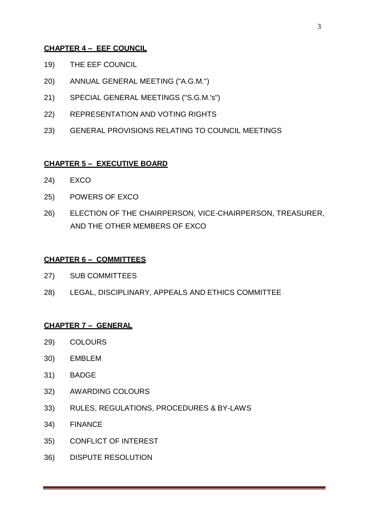#### **CHAPTER 4 – EEF COUNCIL**

- 19) THE EEF COUNCIL
- 20) ANNUAL GENERAL MEETING ("A.G.M.")
- 21) SPECIAL GENERAL MEETINGS ("S.G.M.'s")
- 22) REPRESENTATION AND VOTING RIGHTS
- 23) GENERAL PROVISIONS RELATING TO COUNCIL MEETINGS

#### **CHAPTER 5 – EXECUTIVE BOARD**

- 24) EXCO
- 25) POWERS OF EXCO
- 26) ELECTION OF THE CHAIRPERSON, VICE-CHAIRPERSON, TREASURER, AND THE OTHER MEMBERS OF EXCO

#### **CHAPTER 6 – COMMITTEES**

- 27) SUB COMMITTEES
- 28) LEGAL, DISCIPLINARY, APPEALS AND ETHICS COMMITTEE

#### **CHAPTER 7 – GENERAL**

- 29) COLOURS
- 30) EMBLEM
- 31) BADGE
- 32) AWARDING COLOURS
- 33) RULES, REGULATIONS, PROCEDURES & BY-LAWS
- 34) FINANCE
- 35) CONFLICT OF INTEREST
- 36) DISPUTE RESOLUTION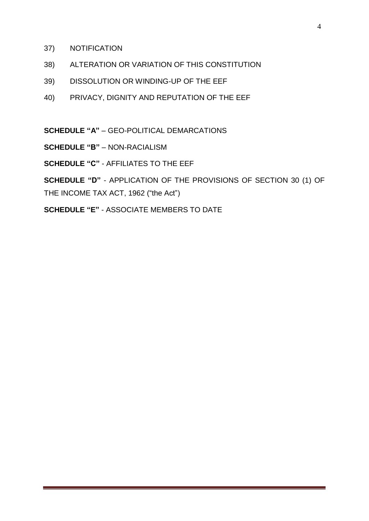- 37) NOTIFICATION
- 38) ALTERATION OR VARIATION OF THIS CONSTITUTION
- 39) DISSOLUTION OR WINDING-UP OF THE EEF
- 40) PRIVACY, DIGNITY AND REPUTATION OF THE EEF

**SCHEDULE "A"** – GEO-POLITICAL DEMARCATIONS

**SCHEDULE "B"** – NON-RACIALISM

**SCHEDULE "C"** - AFFILIATES TO THE EEF

**SCHEDULE "D"** - APPLICATION OF THE PROVISIONS OF SECTION 30 (1) OF THE INCOME TAX ACT, 1962 ("the Act")

**SCHEDULE "E"** - ASSOCIATE MEMBERS TO DATE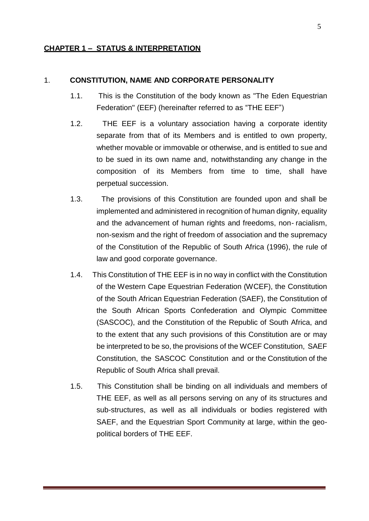## **CHAPTER 1 – STATUS & INTERPRETATION**

#### 1. **CONSTITUTION, NAME AND CORPORATE PERSONALITY**

- 1.1. This is the Constitution of the body known as "The Eden Equestrian Federation" (EEF) (hereinafter referred to as "THE EEF")
- 1.2. THE EEF is a voluntary association having a corporate identity separate from that of its Members and is entitled to own property, whether movable or immovable or otherwise, and is entitled to sue and to be sued in its own name and, notwithstanding any change in the composition of its Members from time to time, shall have perpetual succession.
- 1.3. The provisions of this Constitution are founded upon and shall be implemented and administered in recognition of human dignity, equality and the advancement of human rights and freedoms, non- racialism, non-sexism and the right of freedom of association and the supremacy of the Constitution of the Republic of South Africa (1996), the rule of law and good corporate governance.
- 1.4. This Constitution of THE EEF is in no way in conflict with the Constitution of the Western Cape Equestrian Federation (WCEF), the Constitution of the South African Equestrian Federation (SAEF), the Constitution of the South African Sports Confederation and Olympic Committee (SASCOC), and the Constitution of the Republic of South Africa, and to the extent that any such provisions of this Constitution are or may be interpreted to be so, the provisions of the WCEF Constitution, SAEF Constitution, the SASCOC Constitution and or the Constitution of the Republic of South Africa shall prevail.
- 1.5. This Constitution shall be binding on all individuals and members of THE EEF, as well as all persons serving on any of its structures and sub-structures, as well as all individuals or bodies registered with SAEF, and the Equestrian Sport Community at large, within the geopolitical borders of THE EEF.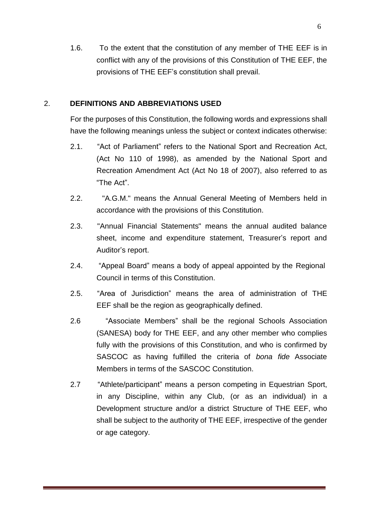1.6. To the extent that the constitution of any member of THE EEF is in conflict with any of the provisions of this Constitution of THE EEF, the provisions of THE EEF's constitution shall prevail.

## 2. **DEFINITIONS AND ABBREVIATIONS USED**

For the purposes of this Constitution, the following words and expressions shall have the following meanings unless the subject or context indicates otherwise:

- 2.1. "Act of Parliament" refers to the National Sport and Recreation Act, (Act No 110 of 1998), as amended by the National Sport and Recreation Amendment Act (Act No 18 of 2007), also referred to as "The Act".
- 2.2. "A.G.M." means the Annual General Meeting of Members held in accordance with the provisions of this Constitution.
- 2.3. "Annual Financial Statements" means the annual audited balance sheet, income and expenditure statement, Treasurer's report and Auditor's report.
- 2.4. "Appeal Board" means a body of appeal appointed by the Regional Council in terms of this Constitution.
- 2.5. "Area of Jurisdiction" means the area of administration of THE EEF shall be the region as geographically defined.
- 2.6 "Associate Members" shall be the regional Schools Association (SANESA) body for THE EEF, and any other member who complies fully with the provisions of this Constitution, and who is confirmed by SASCOC as having fulfilled the criteria of *bona fide* Associate Members in terms of the SASCOC Constitution.
- 2.7 "Athlete/participant" means a person competing in Equestrian Sport, in any Discipline, within any Club, (or as an individual) in a Development structure and/or a district Structure of THE EEF, who shall be subject to the authority of THE EEF, irrespective of the gender or age category.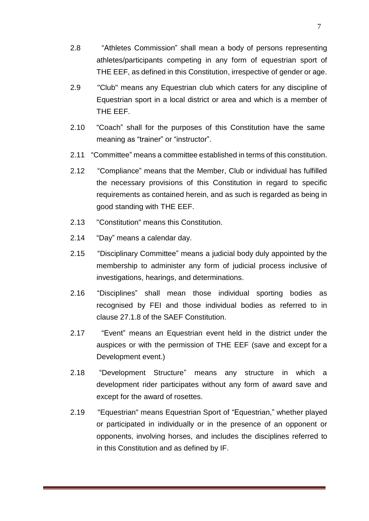- 2.8 "Athletes Commission" shall mean a body of persons representing athletes/participants competing in any form of equestrian sport of THE EEF, as defined in this Constitution, irrespective of gender or age.
- 2.9 "Club" means any Equestrian club which caters for any discipline of Equestrian sport in a local district or area and which is a member of THE EEF.
- 2.10 "Coach" shall for the purposes of this Constitution have the same meaning as "trainer" or "instructor".
- 2.11 "Committee" means a committee established in terms of this constitution.
- 2.12 "Compliance" means that the Member, Club or individual has fulfilled the necessary provisions of this Constitution in regard to specific requirements as contained herein, and as such is regarded as being in good standing with THE EEF.
- 2.13 "Constitution" means this Constitution.
- 2.14 "Day" means a calendar day.
- 2.15 "Disciplinary Committee" means a judicial body duly appointed by the membership to administer any form of judicial process inclusive of investigations, hearings, and determinations.
- 2.16 "Disciplines" shall mean those individual sporting bodies as recognised by FEI and those individual bodies as referred to in clause 27.1.8 of the SAEF Constitution.
- 2.17 "Event" means an Equestrian event held in the district under the auspices or with the permission of THE EEF (save and except for a Development event.)
- 2.18 "Development Structure" means any structure in which a development rider participates without any form of award save and except for the award of rosettes.
- 2.19 "Equestrian" means Equestrian Sport of "Equestrian," whether played or participated in individually or in the presence of an opponent or opponents, involving horses, and includes the disciplines referred to in this Constitution and as defined by IF.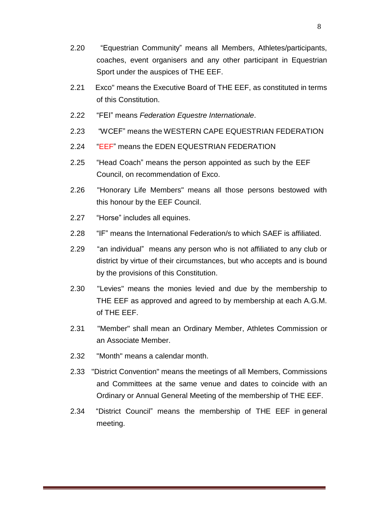- 2.20 "Equestrian Community" means all Members, Athletes/participants, coaches, event organisers and any other participant in Equestrian Sport under the auspices of THE EEF.
- 2.21 Exco" means the Executive Board of THE EEF, as constituted in terms of this Constitution.
- 2.22 "FEI" means *Federation Equestre Internationale*.
- 2.23 "WCEF" means the WESTERN CAPE EQUESTRIAN FEDERATION
- 2.24 "EEF" means the EDEN EQUESTRIAN FEDERATION
- 2.25 "Head Coach" means the person appointed as such by the EEF Council, on recommendation of Exco.
- 2.26 "Honorary Life Members" means all those persons bestowed with this honour by the EEF Council.
- 2.27 "Horse" includes all equines.
- 2.28 "IF" means the International Federation/s to which SAEF is affiliated.
- 2.29 "an individual" means any person who is not affiliated to any club or district by virtue of their circumstances, but who accepts and is bound by the provisions of this Constitution.
- 2.30 "Levies" means the monies levied and due by the membership to THE EEF as approved and agreed to by membership at each A.G.M. of THE EEF.
- 2.31 "Member" shall mean an Ordinary Member, Athletes Commission or an Associate Member.
- 2.32 "Month" means a calendar month.
- 2.33 "District Convention" means the meetings of all Members, Commissions and Committees at the same venue and dates to coincide with an Ordinary or Annual General Meeting of the membership of THE EEF.
- 2.34 "District Council" means the membership of THE EEF in general meeting.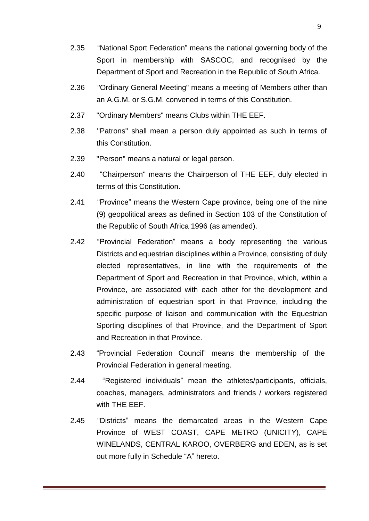- 2.35 "National Sport Federation" means the national governing body of the Sport in membership with SASCOC, and recognised by the Department of Sport and Recreation in the Republic of South Africa.
- 2.36 "Ordinary General Meeting" means a meeting of Members other than an A.G.M. or S.G.M. convened in terms of this Constitution.
- 2.37 "Ordinary Members" means Clubs within THE EEF.
- 2.38 "Patrons" shall mean a person duly appointed as such in terms of this Constitution.
- 2.39 "Person" means a natural or legal person.
- 2.40 "Chairperson" means the Chairperson of THE EEF, duly elected in terms of this Constitution.
- 2.41 "Province" means the Western Cape province, being one of the nine (9) geopolitical areas as defined in Section 103 of the Constitution of the Republic of South Africa 1996 (as amended).
- 2.42 "Provincial Federation" means a body representing the various Districts and equestrian disciplines within a Province, consisting of duly elected representatives, in line with the requirements of the Department of Sport and Recreation in that Province, which, within a Province, are associated with each other for the development and administration of equestrian sport in that Province, including the specific purpose of liaison and communication with the Equestrian Sporting disciplines of that Province, and the Department of Sport and Recreation in that Province.
- 2.43 "Provincial Federation Council" means the membership of the Provincial Federation in general meeting.
- 2.44 "Registered individuals" mean the athletes/participants, officials, coaches, managers, administrators and friends / workers registered with THE EEF.
- 2.45 "Districts" means the demarcated areas in the Western Cape Province of WEST COAST, CAPE METRO (UNICITY), CAPE WINELANDS, CENTRAL KAROO, OVERBERG and EDEN, as is set out more fully in Schedule "A" hereto.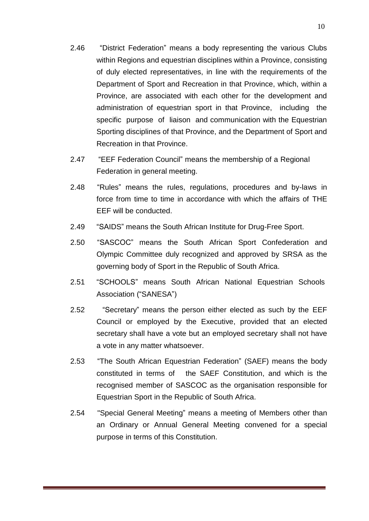- 2.46 "District Federation" means a body representing the various Clubs within Regions and equestrian disciplines within a Province, consisting of duly elected representatives, in line with the requirements of the Department of Sport and Recreation in that Province, which, within a Province, are associated with each other for the development and administration of equestrian sport in that Province, including the specific purpose of liaison and communication with the Equestrian Sporting disciplines of that Province, and the Department of Sport and Recreation in that Province.
- 2.47 "EEF Federation Council" means the membership of a Regional Federation in general meeting.
- 2.48 "Rules" means the rules, regulations, procedures and by-laws in force from time to time in accordance with which the affairs of THE EEF will be conducted.
- 2.49 "SAIDS" means the South African Institute for Drug-Free Sport.
- 2.50 "SASCOC" means the South African Sport Confederation and Olympic Committee duly recognized and approved by SRSA as the governing body of Sport in the Republic of South Africa.
- 2.51 "SCHOOLS" means South African National Equestrian Schools Association ("SANESA")
- 2.52 "Secretary" means the person either elected as such by the EEF Council or employed by the Executive, provided that an elected secretary shall have a vote but an employed secretary shall not have a vote in any matter whatsoever.
- 2.53 "The South African Equestrian Federation" (SAEF) means the body constituted in terms of the SAEF Constitution, and which is the recognised member of SASCOC as the organisation responsible for Equestrian Sport in the Republic of South Africa.
- 2.54 "Special General Meeting" means a meeting of Members other than an Ordinary or Annual General Meeting convened for a special purpose in terms of this Constitution.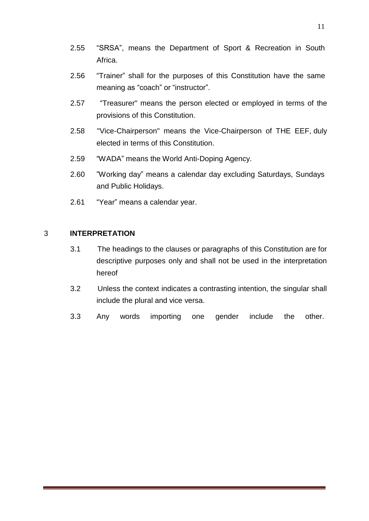- 2.55 "SRSA", means the Department of Sport & Recreation in South Africa.
- 2.56 "Trainer" shall for the purposes of this Constitution have the same meaning as "coach" or "instructor".
- 2.57 "Treasurer" means the person elected or employed in terms of the provisions of this Constitution.
- 2.58 "Vice-Chairperson" means the Vice-Chairperson of THE EEF, duly elected in terms of this Constitution.
- 2.59 "WADA" means the World Anti-Doping Agency.
- 2.60 "Working day" means a calendar day excluding Saturdays, Sundays and Public Holidays.
- 2.61 "Year" means a calendar year.

#### 3 **INTERPRETATION**

- 3.1 The headings to the clauses or paragraphs of this Constitution are for descriptive purposes only and shall not be used in the interpretation hereof
- 3.2 Unless the context indicates a contrasting intention, the singular shall include the plural and vice versa.
- 3.3 Any words importing one gender include the other.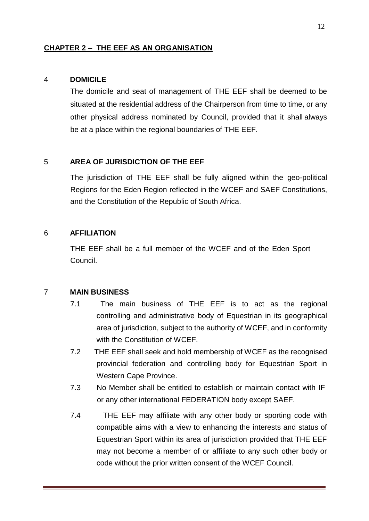## **CHAPTER 2 – THE EEF AS AN ORGANISATION**

#### 4 **DOMICILE**

The domicile and seat of management of THE EEF shall be deemed to be situated at the residential address of the Chairperson from time to time, or any other physical address nominated by Council, provided that it shall always be at a place within the regional boundaries of THE EEF.

#### 5 **AREA OF JURISDICTION OF THE EEF**

The jurisdiction of THE EEF shall be fully aligned within the geo-political Regions for the Eden Region reflected in the WCEF and SAEF Constitutions, and the Constitution of the Republic of South Africa.

#### 6 **AFFILIATION**

THE EEF shall be a full member of the WCEF and of the Eden Sport Council.

#### 7 **MAIN BUSINESS**

- 7.1 The main business of THE EEF is to act as the regional controlling and administrative body of Equestrian in its geographical area of jurisdiction, subject to the authority of WCEF, and in conformity with the Constitution of WCEF.
- 7.2 THE EEF shall seek and hold membership of WCEF as the recognised provincial federation and controlling body for Equestrian Sport in Western Cape Province.
- 7.3 No Member shall be entitled to establish or maintain contact with IF or any other international FEDERATION body except SAEF.
- 7.4 THE EEF may affiliate with any other body or sporting code with compatible aims with a view to enhancing the interests and status of Equestrian Sport within its area of jurisdiction provided that THE EEF may not become a member of or affiliate to any such other body or code without the prior written consent of the WCEF Council.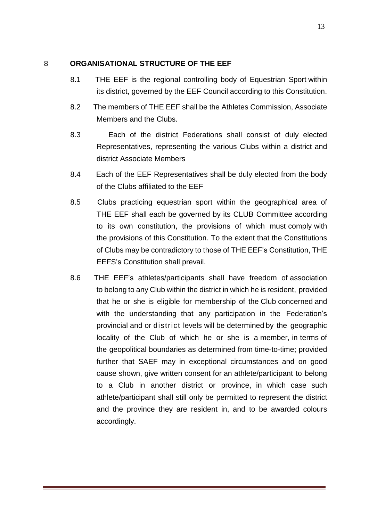# 8 **ORGANISATIONAL STRUCTURE OF THE EEF**

- 8.1 THE EEF is the regional controlling body of Equestrian Sport within its district, governed by the EEF Council according to this Constitution.
- 8.2 The members of THE EEF shall be the Athletes Commission, Associate Members and the Clubs.
- 8.3 Each of the district Federations shall consist of duly elected Representatives, representing the various Clubs within a district and district Associate Members
- 8.4 Each of the EEF Representatives shall be duly elected from the body of the Clubs affiliated to the EEF
- 8.5 Clubs practicing equestrian sport within the geographical area of THE EEF shall each be governed by its CLUB Committee according to its own constitution, the provisions of which must comply with the provisions of this Constitution. To the extent that the Constitutions of Clubs may be contradictory to those of THE EEF's Constitution, THE EEFS's Constitution shall prevail.
- 8.6 THE EEF's athletes/participants shall have freedom of association to belong to any Club within the district in which he is resident, provided that he or she is eligible for membership of the Club concerned and with the understanding that any participation in the Federation's provincial and or district levels will be determined by the geographic locality of the Club of which he or she is a member, in terms of the geopolitical boundaries as determined from time-to-time; provided further that SAEF may in exceptional circumstances and on good cause shown, give written consent for an athlete/participant to belong to a Club in another district or province, in which case such athlete/participant shall still only be permitted to represent the district and the province they are resident in, and to be awarded colours accordingly.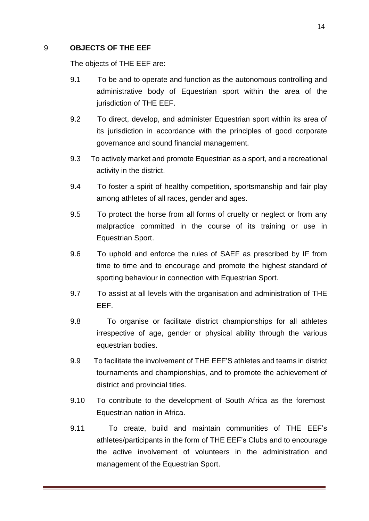# 9 **OBJECTS OF THE EEF**

The objects of THE EEF are:

- 9.1 To be and to operate and function as the autonomous controlling and administrative body of Equestrian sport within the area of the jurisdiction of THE EEF.
- 9.2 To direct, develop, and administer Equestrian sport within its area of its jurisdiction in accordance with the principles of good corporate governance and sound financial management.
- 9.3 To actively market and promote Equestrian as a sport, and a recreational activity in the district.
- 9.4 To foster a spirit of healthy competition, sportsmanship and fair play among athletes of all races, gender and ages.
- 9.5 To protect the horse from all forms of cruelty or neglect or from any malpractice committed in the course of its training or use in Equestrian Sport.
- 9.6 To uphold and enforce the rules of SAEF as prescribed by IF from time to time and to encourage and promote the highest standard of sporting behaviour in connection with Equestrian Sport.
- 9.7 To assist at all levels with the organisation and administration of THE EEF.
- 9.8 To organise or facilitate district championships for all athletes irrespective of age, gender or physical ability through the various equestrian bodies.
- 9.9 To facilitate the involvement of THE EEF'S athletes and teams in district tournaments and championships, and to promote the achievement of district and provincial titles.
- 9.10 To contribute to the development of South Africa as the foremost Equestrian nation in Africa.
- 9.11 To create, build and maintain communities of THE EEF's athletes/participants in the form of THE EEF's Clubs and to encourage the active involvement of volunteers in the administration and management of the Equestrian Sport.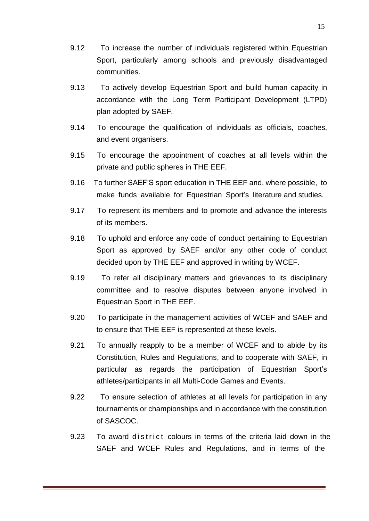- 9.12 To increase the number of individuals registered within Equestrian Sport, particularly among schools and previously disadvantaged communities.
- 9.13 To actively develop Equestrian Sport and build human capacity in accordance with the Long Term Participant Development (LTPD) plan adopted by SAEF.
- 9.14 To encourage the qualification of individuals as officials, coaches, and event organisers.
- 9.15 To encourage the appointment of coaches at all levels within the private and public spheres in THE EEF.
- 9.16 To further SAEF'S sport education in THE EEF and, where possible, to make funds available for Equestrian Sport's literature and studies.
- 9.17 To represent its members and to promote and advance the interests of its members.
- 9.18 To uphold and enforce any code of conduct pertaining to Equestrian Sport as approved by SAEF and/or any other code of conduct decided upon by THE EEF and approved in writing by WCEF.
- 9.19 To refer all disciplinary matters and grievances to its disciplinary committee and to resolve disputes between anyone involved in Equestrian Sport in THE EEF.
- 9.20 To participate in the management activities of WCEF and SAEF and to ensure that THE EEF is represented at these levels.
- 9.21 To annually reapply to be a member of WCEF and to abide by its Constitution, Rules and Regulations, and to cooperate with SAEF, in particular as regards the participation of Equestrian Sport's athletes/participants in all Multi-Code Games and Events.
- 9.22 To ensure selection of athletes at all levels for participation in any tournaments or championships and in accordance with the constitution of SASCOC.
- 9.23 To award district colours in terms of the criteria laid down in the SAEF and WCEF Rules and Regulations, and in terms of the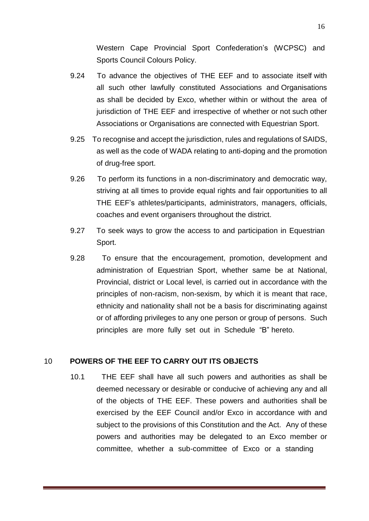Western Cape Provincial Sport Confederation's (WCPSC) and Sports Council Colours Policy.

- 9.24 To advance the objectives of THE EEF and to associate itself with all such other lawfully constituted Associations and Organisations as shall be decided by Exco, whether within or without the area of jurisdiction of THE EEF and irrespective of whether or not such other Associations or Organisations are connected with Equestrian Sport.
- 9.25 To recognise and accept the jurisdiction, rules and regulations of SAIDS, as well as the code of WADA relating to anti-doping and the promotion of drug-free sport.
- 9.26 To perform its functions in a non-discriminatory and democratic way, striving at all times to provide equal rights and fair opportunities to all THE EEF's athletes/participants, administrators, managers, officials, coaches and event organisers throughout the district.
- 9.27 To seek ways to grow the access to and participation in Equestrian Sport.
- 9.28 To ensure that the encouragement, promotion, development and administration of Equestrian Sport, whether same be at National, Provincial, district or Local level, is carried out in accordance with the principles of non-racism, non-sexism, by which it is meant that race, ethnicity and nationality shall not be a basis for discriminating against or of affording privileges to any one person or group of persons. Such principles are more fully set out in Schedule "B" hereto.

## 10 **POWERS OF THE EEF TO CARRY OUT ITS OBJECTS**

10.1 THE EEF shall have all such powers and authorities as shall be deemed necessary or desirable or conducive of achieving any and all of the objects of THE EEF. These powers and authorities shall be exercised by the EEF Council and/or Exco in accordance with and subject to the provisions of this Constitution and the Act. Any of these powers and authorities may be delegated to an Exco member or committee, whether a sub-committee of Exco or a standing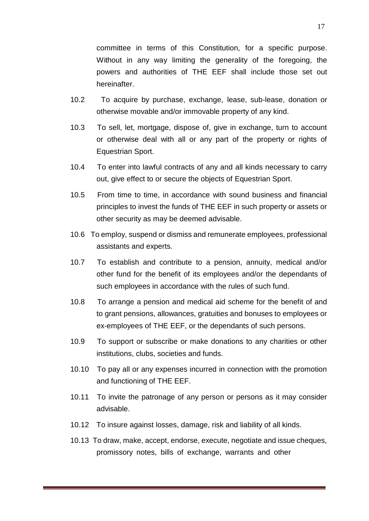committee in terms of this Constitution, for a specific purpose. Without in any way limiting the generality of the foregoing, the powers and authorities of THE EEF shall include those set out hereinafter.

- 10.2 To acquire by purchase, exchange, lease, sub-lease, donation or otherwise movable and/or immovable property of any kind.
- 10.3 To sell, let, mortgage, dispose of, give in exchange, turn to account or otherwise deal with all or any part of the property or rights of Equestrian Sport.
- 10.4 To enter into lawful contracts of any and all kinds necessary to carry out, give effect to or secure the objects of Equestrian Sport.
- 10.5 From time to time, in accordance with sound business and financial principles to invest the funds of THE EEF in such property or assets or other security as may be deemed advisable.
- 10.6 To employ, suspend or dismiss and remunerate employees, professional assistants and experts.
- 10.7 To establish and contribute to a pension, annuity, medical and/or other fund for the benefit of its employees and/or the dependants of such employees in accordance with the rules of such fund.
- 10.8 To arrange a pension and medical aid scheme for the benefit of and to grant pensions, allowances, gratuities and bonuses to employees or ex-employees of THE EEF, or the dependants of such persons.
- 10.9 To support or subscribe or make donations to any charities or other institutions, clubs, societies and funds.
- 10.10 To pay all or any expenses incurred in connection with the promotion and functioning of THE EEF.
- 10.11 To invite the patronage of any person or persons as it may consider advisable.
- 10.12 To insure against losses, damage, risk and liability of all kinds.
- 10.13 To draw, make, accept, endorse, execute, negotiate and issue cheques, promissory notes, bills of exchange, warrants and other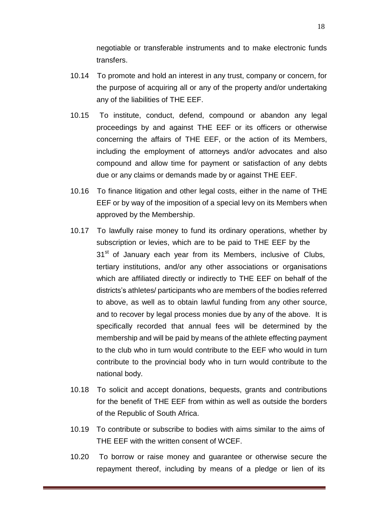negotiable or transferable instruments and to make electronic funds transfers.

- 10.14 To promote and hold an interest in any trust, company or concern, for the purpose of acquiring all or any of the property and/or undertaking any of the liabilities of THE EEF.
- 10.15 To institute, conduct, defend, compound or abandon any legal proceedings by and against THE EEF or its officers or otherwise concerning the affairs of THE EEF, or the action of its Members, including the employment of attorneys and/or advocates and also compound and allow time for payment or satisfaction of any debts due or any claims or demands made by or against THE EEF.
- 10.16 To finance litigation and other legal costs, either in the name of THE EEF or by way of the imposition of a special levy on its Members when approved by the Membership.
- 10.17 To lawfully raise money to fund its ordinary operations, whether by subscription or levies, which are to be paid to THE EEF by the 31<sup>st</sup> of January each year from its Members, inclusive of Clubs, tertiary institutions, and/or any other associations or organisations which are affiliated directly or indirectly to THE EEF on behalf of the districts's athletes/ participants who are members of the bodies referred to above, as well as to obtain lawful funding from any other source, and to recover by legal process monies due by any of the above. It is specifically recorded that annual fees will be determined by the membership and will be paid by means of the athlete effecting payment to the club who in turn would contribute to the EEF who would in turn contribute to the provincial body who in turn would contribute to the national body.
- 10.18 To solicit and accept donations, bequests, grants and contributions for the benefit of THE EEF from within as well as outside the borders of the Republic of South Africa.
- 10.19 To contribute or subscribe to bodies with aims similar to the aims of THE EEF with the written consent of WCEF.
- 10.20 To borrow or raise money and guarantee or otherwise secure the repayment thereof, including by means of a pledge or lien of its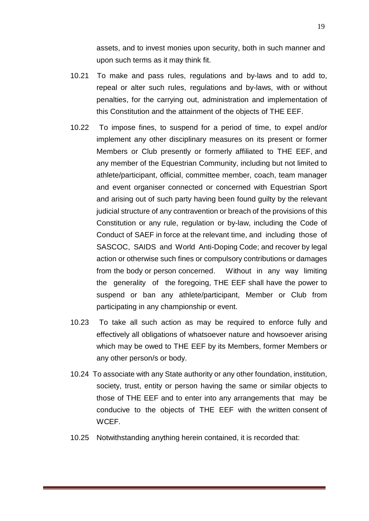assets, and to invest monies upon security, both in such manner and upon such terms as it may think fit.

- 10.21 To make and pass rules, regulations and by-laws and to add to, repeal or alter such rules, regulations and by-laws, with or without penalties, for the carrying out, administration and implementation of this Constitution and the attainment of the objects of THE EEF.
- 10.22 To impose fines, to suspend for a period of time, to expel and/or implement any other disciplinary measures on its present or former Members or Club presently or formerly affiliated to THE EEF, and any member of the Equestrian Community, including but not limited to athlete/participant, official, committee member, coach, team manager and event organiser connected or concerned with Equestrian Sport and arising out of such party having been found guilty by the relevant judicial structure of any contravention or breach of the provisions of this Constitution or any rule, regulation or by-law, including the Code of Conduct of SAEF in force at the relevant time, and including those of SASCOC, SAIDS and World Anti-Doping Code; and recover by legal action or otherwise such fines or compulsory contributions or damages from the body or person concerned. Without in any way limiting the generality of the foregoing, THE EEF shall have the power to suspend or ban any athlete/participant, Member or Club from participating in any championship or event.
- 10.23 To take all such action as may be required to enforce fully and effectively all obligations of whatsoever nature and howsoever arising which may be owed to THE EEF by its Members, former Members or any other person/s or body.
- 10.24 To associate with any State authority or any other foundation, institution, society, trust, entity or person having the same or similar objects to those of THE EEF and to enter into any arrangements that may be conducive to the objects of THE EEF with the written consent of WCEF.
- 10.25 Notwithstanding anything herein contained, it is recorded that: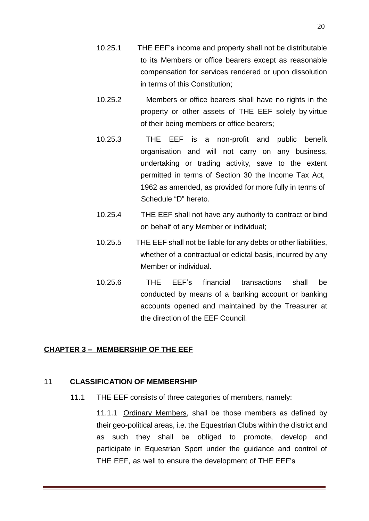- 10.25.2 Members or office bearers shall have no rights in the property or other assets of THE EEF solely by virtue of their being members or office bearers;
- 10.25.3 THE EEF is a non-profit and public benefit organisation and will not carry on any business, undertaking or trading activity, save to the extent permitted in terms of Section 30 the Income Tax Act, 1962 as amended, as provided for more fully in terms of Schedule "D" hereto.
- 10.25.4 THE EEF shall not have any authority to contract or bind on behalf of any Member or individual;
- 10.25.5 THE EEF shall not be liable for any debts or other liabilities, whether of a contractual or edictal basis, incurred by any Member or individual.
- 10.25.6 THE EEF's financial transactions shall be conducted by means of a banking account or banking accounts opened and maintained by the Treasurer at the direction of the EEF Council.

# **CHAPTER 3 – MEMBERSHIP OF THE EEF**

## 11 **CLASSIFICATION OF MEMBERSHIP**

11.1 THE EEF consists of three categories of members, namely:

11.1.1 Ordinary Members, shall be those members as defined by their geo-political areas, i.e. the Equestrian Clubs within the district and as such they shall be obliged to promote, develop and participate in Equestrian Sport under the guidance and control of THE EEF, as well to ensure the development of THE EEF's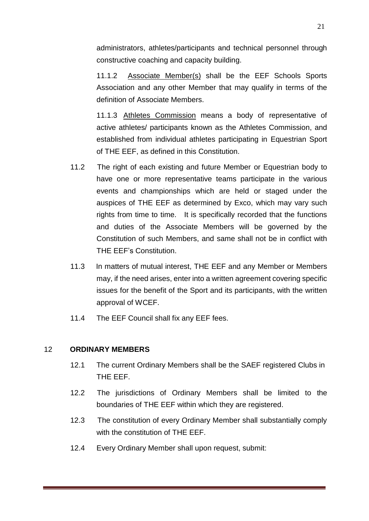administrators, athletes/participants and technical personnel through constructive coaching and capacity building.

11.1.2 Associate Member(s) shall be the EEF Schools Sports Association and any other Member that may qualify in terms of the definition of Associate Members.

11.1.3 Athletes Commission means a body of representative of active athletes/ participants known as the Athletes Commission, and established from individual athletes participating in Equestrian Sport of THE EEF, as defined in this Constitution.

- 11.2 The right of each existing and future Member or Equestrian body to have one or more representative teams participate in the various events and championships which are held or staged under the auspices of THE EEF as determined by Exco, which may vary such rights from time to time. It is specifically recorded that the functions and duties of the Associate Members will be governed by the Constitution of such Members, and same shall not be in conflict with THE EEF's Constitution.
- 11.3 In matters of mutual interest, THE EEF and any Member or Members may, if the need arises, enter into a written agreement covering specific issues for the benefit of the Sport and its participants, with the written approval of WCEF.
- 11.4 The EEF Council shall fix any EEF fees.

## 12 **ORDINARY MEMBERS**

- 12.1 The current Ordinary Members shall be the SAEF registered Clubs in THE EEF.
- 12.2 The jurisdictions of Ordinary Members shall be limited to the boundaries of THE EEF within which they are registered.
- 12.3 The constitution of every Ordinary Member shall substantially comply with the constitution of THE EEF.
- 12.4 Every Ordinary Member shall upon request, submit: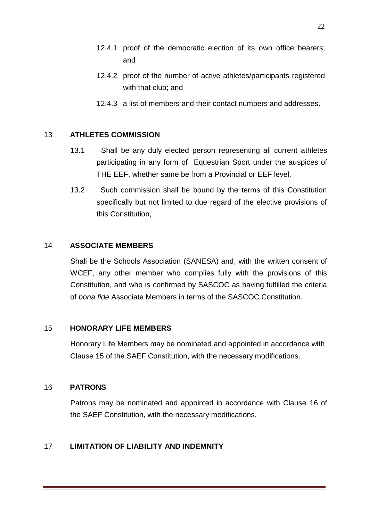- 12.4.1 proof of the democratic election of its own office bearers; and
- 12.4.2 proof of the number of active athletes/participants registered with that club; and
- 12.4.3 a list of members and their contact numbers and addresses.

# 13 **ATHLETES COMMISSION**

- 13.1 Shall be any duly elected person representing all current athletes participating in any form of Equestrian Sport under the auspices of THE EEF, whether same be from a Provincial or EEF level.
- 13.2 Such commission shall be bound by the terms of this Constitution specifically but not limited to due regard of the elective provisions of this Constitution,

# 14 **ASSOCIATE MEMBERS**

Shall be the Schools Association (SANESA) and, with the written consent of WCEF, any other member who complies fully with the provisions of this Constitution, and who is confirmed by SASCOC as having fulfilled the criteria of *bona fide* Associate Members in terms of the SASCOC Constitution.

# 15 **HONORARY LIFE MEMBERS**

Honorary Life Members may be nominated and appointed in accordance with Clause 15 of the SAEF Constitution, with the necessary modifications.

# 16 **PATRONS**

Patrons may be nominated and appointed in accordance with Clause 16 of the SAEF Constitution, with the necessary modifications.

# 17 **LIMITATION OF LIABILITY AND INDEMNITY**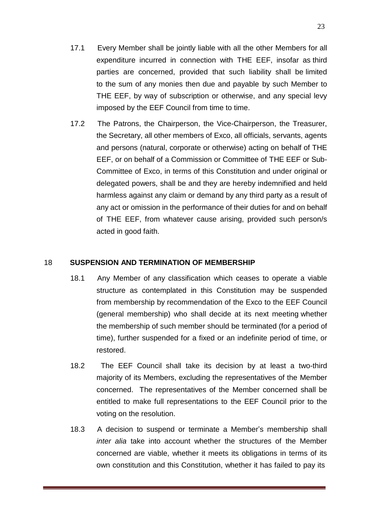- 17.1 Every Member shall be jointly liable with all the other Members for all expenditure incurred in connection with THE EEF, insofar as third parties are concerned, provided that such liability shall be limited to the sum of any monies then due and payable by such Member to THE EEF, by way of subscription or otherwise, and any special levy imposed by the EEF Council from time to time.
- 17.2 The Patrons, the Chairperson, the Vice-Chairperson, the Treasurer, the Secretary, all other members of Exco, all officials, servants, agents and persons (natural, corporate or otherwise) acting on behalf of THE EEF, or on behalf of a Commission or Committee of THE EEF or Sub-Committee of Exco, in terms of this Constitution and under original or delegated powers, shall be and they are hereby indemnified and held harmless against any claim or demand by any third party as a result of any act or omission in the performance of their duties for and on behalf of THE EEF, from whatever cause arising, provided such person/s acted in good faith.

## 18 **SUSPENSION AND TERMINATION OF MEMBERSHIP**

- 18.1 Any Member of any classification which ceases to operate a viable structure as contemplated in this Constitution may be suspended from membership by recommendation of the Exco to the EEF Council (general membership) who shall decide at its next meeting whether the membership of such member should be terminated (for a period of time), further suspended for a fixed or an indefinite period of time, or restored.
- 18.2 The EEF Council shall take its decision by at least a two-third majority of its Members, excluding the representatives of the Member concerned. The representatives of the Member concerned shall be entitled to make full representations to the EEF Council prior to the voting on the resolution.
- 18.3 A decision to suspend or terminate a Member's membership shall *inter alia* take into account whether the structures of the Member concerned are viable, whether it meets its obligations in terms of its own constitution and this Constitution, whether it has failed to pay its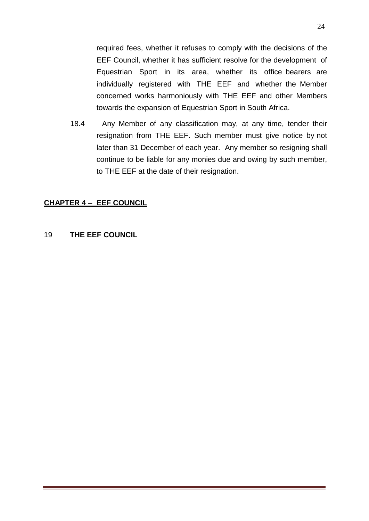required fees, whether it refuses to comply with the decisions of the EEF Council, whether it has sufficient resolve for the development of Equestrian Sport in its area, whether its office bearers are individually registered with THE EEF and whether the Member concerned works harmoniously with THE EEF and other Members towards the expansion of Equestrian Sport in South Africa.

18.4 Any Member of any classification may, at any time, tender their resignation from THE EEF. Such member must give notice by not later than 31 December of each year. Any member so resigning shall continue to be liable for any monies due and owing by such member, to THE EEF at the date of their resignation.

## **CHAPTER 4 – EEF COUNCIL**

#### 19 **THE EEF COUNCIL**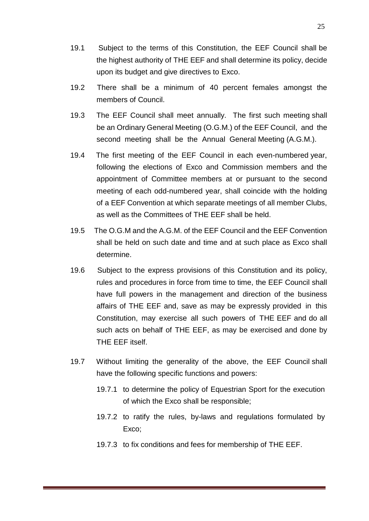- 19.1 Subject to the terms of this Constitution, the EEF Council shall be the highest authority of THE EEF and shall determine its policy, decide upon its budget and give directives to Exco.
- 19.2 There shall be a minimum of 40 percent females amongst the members of Council.
- 19.3 The EEF Council shall meet annually. The first such meeting shall be an Ordinary General Meeting (O.G.M.) of the EEF Council, and the second meeting shall be the Annual General Meeting (A.G.M.).
- 19.4 The first meeting of the EEF Council in each even-numbered year, following the elections of Exco and Commission members and the appointment of Committee members at or pursuant to the second meeting of each odd-numbered year, shall coincide with the holding of a EEF Convention at which separate meetings of all member Clubs, as well as the Committees of THE EEF shall be held.
- 19.5 The O.G.M and the A.G.M. of the EEF Council and the EEF Convention shall be held on such date and time and at such place as Exco shall determine.
- 19.6 Subject to the express provisions of this Constitution and its policy, rules and procedures in force from time to time, the EEF Council shall have full powers in the management and direction of the business affairs of THE EEF and, save as may be expressly provided in this Constitution, may exercise all such powers of THE EEF and do all such acts on behalf of THE EEF, as may be exercised and done by THE EEF itself.
- 19.7 Without limiting the generality of the above, the EEF Council shall have the following specific functions and powers:
	- 19.7.1 to determine the policy of Equestrian Sport for the execution of which the Exco shall be responsible;
	- 19.7.2 to ratify the rules, by-laws and regulations formulated by Exco;
	- 19.7.3 to fix conditions and fees for membership of THE EEF.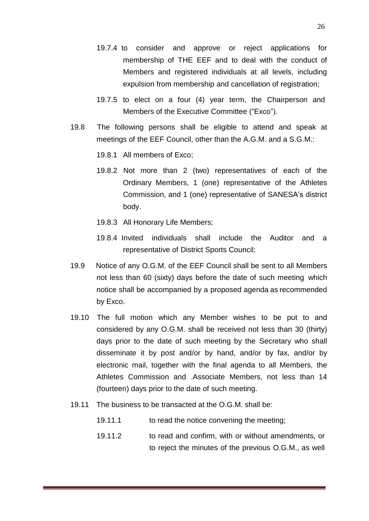- 19.7.4 to consider and approve or reject applications for membership of THE EEF and to deal with the conduct of Members and registered individuals at all levels, including expulsion from membership and cancellation of registration;
- 19.7.5 to elect on a four (4) year term, the Chairperson and Members of the Executive Committee ("Exco").
- 19.8 The following persons shall be eligible to attend and speak at meetings of the EEF Council, other than the A.G.M. and a S.G.M.:
	- 19.8.1 All members of Exco;
	- 19.8.2 Not more than 2 (two) representatives of each of the Ordinary Members, 1 (one) representative of the Athletes Commission, and 1 (one) representative of SANESA's district body.
	- 19.8.3 All Honorary Life Members;
	- 19.8.4 Invited individuals shall include the Auditor and a representative of District Sports Council;
- 19.9 Notice of any O.G.M. of the EEF Council shall be sent to all Members not less than 60 (sixty) days before the date of such meeting which notice shall be accompanied by a proposed agenda as recommended by Exco.
- 19.10 The full motion which any Member wishes to be put to and considered by any O.G.M. shall be received not less than 30 (thirty) days prior to the date of such meeting by the Secretary who shall disseminate it by post and/or by hand, and/or by fax, and/or by electronic mail, together with the final agenda to all Members, the Athletes Commission and .Associate Members, not less than 14 (fourteen) days prior to the date of such meeting.
- 19.11 The business to be transacted at the O.G.M. shall be:
	- 19.11.1 to read the notice convening the meeting;
	- 19.11.2 to read and confirm, with or without amendments, or to reject the minutes of the previous O.G.M., as well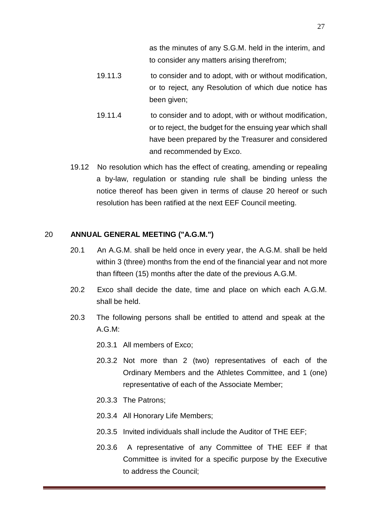as the minutes of any S.G.M. held in the interim, and to consider any matters arising therefrom;

- 19.11.3 to consider and to adopt, with or without modification, or to reject, any Resolution of which due notice has been given;
- 19.11.4 to consider and to adopt, with or without modification, or to reject, the budget for the ensuing year which shall have been prepared by the Treasurer and considered and recommended by Exco.
- 19.12 No resolution which has the effect of creating, amending or repealing a by-law, regulation or standing rule shall be binding unless the notice thereof has been given in terms of clause 20 hereof or such resolution has been ratified at the next EEF Council meeting.

## 20 **ANNUAL GENERAL MEETING ("A.G.M.")**

- 20.1 An A.G.M. shall be held once in every year, the A.G.M. shall be held within 3 (three) months from the end of the financial year and not more than fifteen (15) months after the date of the previous A.G.M.
- 20.2 Exco shall decide the date, time and place on which each A.G.M. shall be held.
- 20.3 The following persons shall be entitled to attend and speak at the A.G.M:
	- 20.3.1 All members of Exco;
	- 20.3.2 Not more than 2 (two) representatives of each of the Ordinary Members and the Athletes Committee, and 1 (one) representative of each of the Associate Member;
	- 20.3.3 The Patrons;
	- 20.3.4 All Honorary Life Members;
	- 20.3.5 Invited individuals shall include the Auditor of THE EEF;
	- 20.3.6 A representative of any Committee of THE EEF if that Committee is invited for a specific purpose by the Executive to address the Council;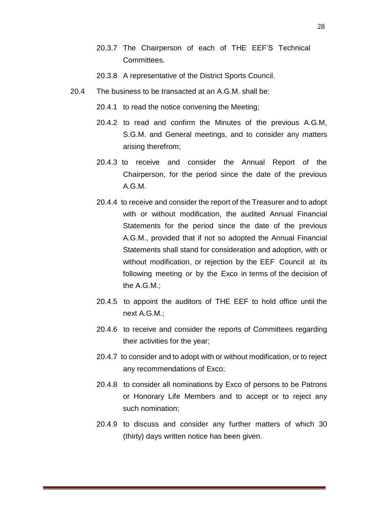- 20.3.7 The Chairperson of each of THE EEF'S Technical Committees.
- 20.3.8 A representative of the District Sports Council.
- 20.4 The business to be transacted at an A.G.M. shall be:
	- 20.4.1 to read the notice convening the Meeting;
	- 20.4.2 to read and confirm the Minutes of the previous A.G.M, S.G.M. and General meetings, and to consider any matters arising therefrom;
	- 20.4.3 to receive and consider the Annual Report of the Chairperson, for the period since the date of the previous A.G.M.
	- 20.4.4 to receive and consider the report of the Treasurer and to adopt with or without modification, the audited Annual Financial Statements for the period since the date of the previous A.G.M., provided that if not so adopted the Annual Financial Statements shall stand for consideration and adoption, with or without modification, or rejection by the EEF Council at its following meeting or by the Exco in terms of the decision of the A.G.M.;
	- 20.4.5 to appoint the auditors of THE EEF to hold office until the next A.G.M.;
	- 20.4.6 to receive and consider the reports of Committees regarding their activities for the year;
	- 20.4.7 to consider and to adopt with or without modification, or to reject any recommendations of Exco;
	- 20.4.8 to consider all nominations by Exco of persons to be Patrons or Honorary Life Members and to accept or to reject any such nomination;
	- 20.4.9 to discuss and consider any further matters of which 30 (thirty) days written notice has been given.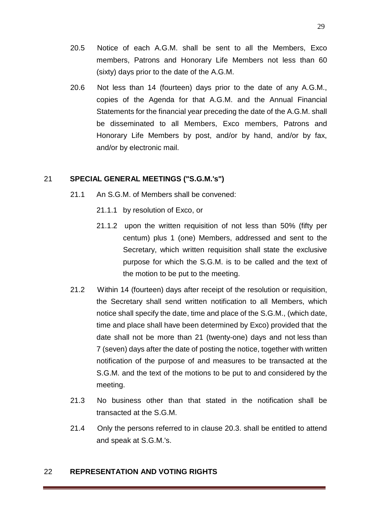- 20.5 Notice of each A.G.M. shall be sent to all the Members, Exco members, Patrons and Honorary Life Members not less than 60 (sixty) days prior to the date of the A.G.M.
- 20.6 Not less than 14 (fourteen) days prior to the date of any A.G.M., copies of the Agenda for that A.G.M. and the Annual Financial Statements for the financial year preceding the date of the A.G.M. shall be disseminated to all Members, Exco members, Patrons and Honorary Life Members by post, and/or by hand, and/or by fax, and/or by electronic mail.

## 21 **SPECIAL GENERAL MEETINGS ("S.G.M.'s")**

- 21.1 An S.G.M. of Members shall be convened:
	- 21.1.1 by resolution of Exco, or
	- 21.1.2 upon the written requisition of not less than 50% (fifty per centum) plus 1 (one) Members, addressed and sent to the Secretary, which written requisition shall state the exclusive purpose for which the S.G.M. is to be called and the text of the motion to be put to the meeting.
- 21.2 Within 14 (fourteen) days after receipt of the resolution or requisition, the Secretary shall send written notification to all Members, which notice shall specify the date, time and place of the S.G.M., (which date, time and place shall have been determined by Exco) provided that the date shall not be more than 21 (twenty-one) days and not less than 7 (seven) days after the date of posting the notice, together with written notification of the purpose of and measures to be transacted at the S.G.M. and the text of the motions to be put to and considered by the meeting.
- 21.3 No business other than that stated in the notification shall be transacted at the S.G.M.
- 21.4 Only the persons referred to in clause 20.3. shall be entitled to attend and speak at S.G.M.'s.

#### 22 **REPRESENTATION AND VOTING RIGHTS**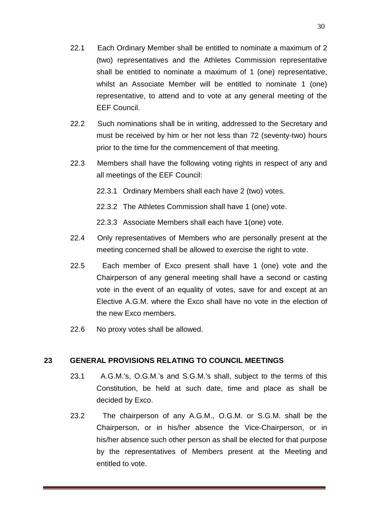- 22.1 Each Ordinary Member shall be entitled to nominate a maximum of 2 (two) representatives and the Athletes Commission representative shall be entitled to nominate a maximum of 1 (one) representative, whilst an Associate Member will be entitled to nominate 1 (one) representative, to attend and to vote at any general meeting of the EEF Council.
- 22.2 Such nominations shall be in writing, addressed to the Secretary and must be received by him or her not less than 72 (seventy-two) hours prior to the time for the commencement of that meeting.
- 22.3 Members shall have the following voting rights in respect of any and all meetings of the EEF Council:
	- 22.3.1 Ordinary Members shall each have 2 (two) votes.
	- 22.3.2 The Athletes Commission shall have 1 (one) vote.
	- 22.3.3 Associate Members shall each have 1(one) vote.
- 22.4 Only representatives of Members who are personally present at the meeting concerned shall be allowed to exercise the right to vote.
- 22.5 Each member of Exco present shall have 1 (one) vote and the Chairperson of any general meeting shall have a second or casting vote in the event of an equality of votes, save for and except at an Elective A.G.M. where the Exco shall have no vote in the election of the new Exco members.
- 22.6 No proxy votes shall be allowed.

# **23 GENERAL PROVISIONS RELATING TO COUNCIL MEETINGS**

- 23.1 A.G.M.'s, O.G.M.'s and S.G.M.'s shall, subject to the terms of this Constitution, be held at such date, time and place as shall be decided by Exco.
- 23.2 The chairperson of any A.G.M., O.G.M. or S.G.M. shall be the Chairperson, or in his/her absence the Vice-Chairperson, or in his/her absence such other person as shall be elected for that purpose by the representatives of Members present at the Meeting and entitled to vote.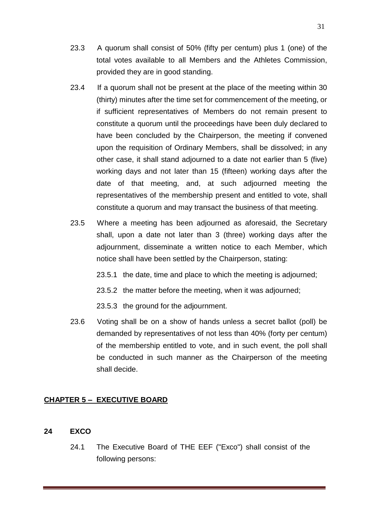- 23.3 A quorum shall consist of 50% (fifty per centum) plus 1 (one) of the total votes available to all Members and the Athletes Commission, provided they are in good standing.
- 23.4 If a quorum shall not be present at the place of the meeting within 30 (thirty) minutes after the time set for commencement of the meeting, or if sufficient representatives of Members do not remain present to constitute a quorum until the proceedings have been duly declared to have been concluded by the Chairperson, the meeting if convened upon the requisition of Ordinary Members, shall be dissolved; in any other case, it shall stand adjourned to a date not earlier than 5 (five) working days and not later than 15 (fifteen) working days after the date of that meeting, and, at such adjourned meeting the representatives of the membership present and entitled to vote, shall constitute a quorum and may transact the business of that meeting.
- 23.5 Where a meeting has been adjourned as aforesaid, the Secretary shall, upon a date not later than 3 (three) working days after the adjournment, disseminate a written notice to each Member, which notice shall have been settled by the Chairperson, stating:

23.5.1 the date, time and place to which the meeting is adjourned;

23.5.2 the matter before the meeting, when it was adjourned;

23.5.3 the ground for the adjournment.

23.6 Voting shall be on a show of hands unless a secret ballot (poll) be demanded by representatives of not less than 40% (forty per centum) of the membership entitled to vote, and in such event, the poll shall be conducted in such manner as the Chairperson of the meeting shall decide.

# **CHAPTER 5 – EXECUTIVE BOARD**

- **24 EXCO**
	- 24.1 The Executive Board of THE EEF ("Exco") shall consist of the following persons: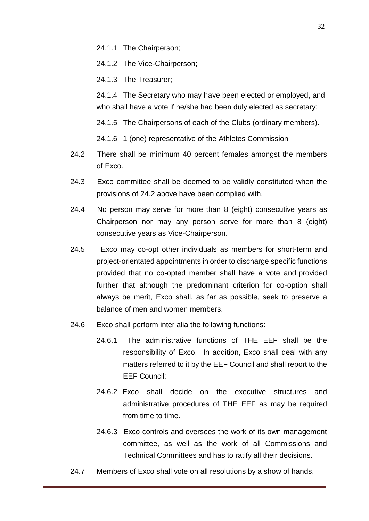- 24.1.1 The Chairperson;
- 24.1.2 The Vice-Chairperson;
- 24.1.3 The Treasurer;

24.1.4 The Secretary who may have been elected or employed, and who shall have a vote if he/she had been duly elected as secretary;

24.1.5 The Chairpersons of each of the Clubs (ordinary members).

24.1.6 1 (one) representative of the Athletes Commission

- 24.2 There shall be minimum 40 percent females amongst the members of Exco.
- 24.3 Exco committee shall be deemed to be validly constituted when the provisions of 24.2 above have been complied with.
- 24.4 No person may serve for more than 8 (eight) consecutive years as Chairperson nor may any person serve for more than 8 (eight) consecutive years as Vice-Chairperson.
- 24.5 Exco may co-opt other individuals as members for short-term and project-orientated appointments in order to discharge specific functions provided that no co-opted member shall have a vote and provided further that although the predominant criterion for co-option shall always be merit, Exco shall, as far as possible, seek to preserve a balance of men and women members.
- 24.6 Exco shall perform inter alia the following functions:
	- 24.6.1 The administrative functions of THE EEF shall be the responsibility of Exco. In addition, Exco shall deal with any matters referred to it by the EEF Council and shall report to the EEF Council;
	- 24.6.2 Exco shall decide on the executive structures and administrative procedures of THE EEF as may be required from time to time.
	- 24.6.3 Exco controls and oversees the work of its own management committee, as well as the work of all Commissions and Technical Committees and has to ratify all their decisions.
- 24.7 Members of Exco shall vote on all resolutions by a show of hands.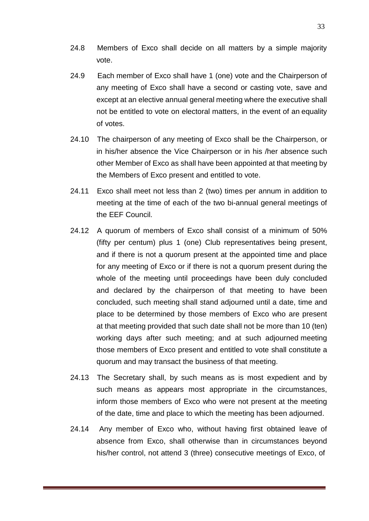- 24.8 Members of Exco shall decide on all matters by a simple majority vote.
- 24.9 Each member of Exco shall have 1 (one) vote and the Chairperson of any meeting of Exco shall have a second or casting vote, save and except at an elective annual general meeting where the executive shall not be entitled to vote on electoral matters, in the event of an equality of votes.
- 24.10 The chairperson of any meeting of Exco shall be the Chairperson, or in his/her absence the Vice Chairperson or in his /her absence such other Member of Exco as shall have been appointed at that meeting by the Members of Exco present and entitled to vote.
- 24.11 Exco shall meet not less than 2 (two) times per annum in addition to meeting at the time of each of the two bi-annual general meetings of the EEF Council.
- 24.12 A quorum of members of Exco shall consist of a minimum of 50% (fifty per centum) plus 1 (one) Club representatives being present, and if there is not a quorum present at the appointed time and place for any meeting of Exco or if there is not a quorum present during the whole of the meeting until proceedings have been duly concluded and declared by the chairperson of that meeting to have been concluded, such meeting shall stand adjourned until a date, time and place to be determined by those members of Exco who are present at that meeting provided that such date shall not be more than 10 (ten) working days after such meeting; and at such adjourned meeting those members of Exco present and entitled to vote shall constitute a quorum and may transact the business of that meeting.
- 24.13 The Secretary shall, by such means as is most expedient and by such means as appears most appropriate in the circumstances, inform those members of Exco who were not present at the meeting of the date, time and place to which the meeting has been adjourned.
- 24.14 Any member of Exco who, without having first obtained leave of absence from Exco, shall otherwise than in circumstances beyond his/her control, not attend 3 (three) consecutive meetings of Exco, of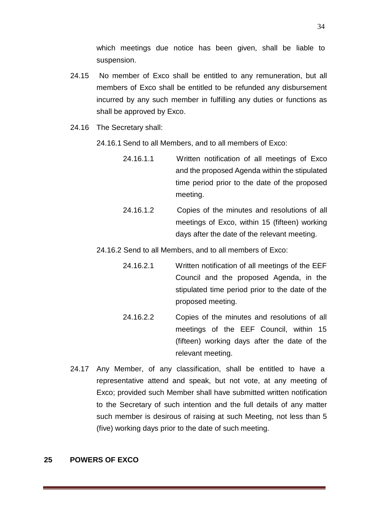which meetings due notice has been given, shall be liable to suspension.

- 24.15 No member of Exco shall be entitled to any remuneration, but all members of Exco shall be entitled to be refunded any disbursement incurred by any such member in fulfilling any duties or functions as shall be approved by Exco.
- 24.16 The Secretary shall:
	- 24.16.1 Send to all Members, and to all members of Exco:
		- 24.16.1.1 Written notification of all meetings of Exco and the proposed Agenda within the stipulated time period prior to the date of the proposed meeting.
		- 24.16.1.2 Copies of the minutes and resolutions of all meetings of Exco, within 15 (fifteen) working days after the date of the relevant meeting.
	- 24.16.2 Send to all Members, and to all members of Exco:
		- 24.16.2.1 Written notification of all meetings of the EEF Council and the proposed Agenda, in the stipulated time period prior to the date of the proposed meeting.
			- 24.16.2.2 Copies of the minutes and resolutions of all meetings of the EEF Council, within 15 (fifteen) working days after the date of the relevant meeting.
- 24.17 Any Member, of any classification, shall be entitled to have a representative attend and speak, but not vote, at any meeting of Exco; provided such Member shall have submitted written notification to the Secretary of such intention and the full details of any matter such member is desirous of raising at such Meeting, not less than 5 (five) working days prior to the date of such meeting.

# **25 POWERS OF EXCO**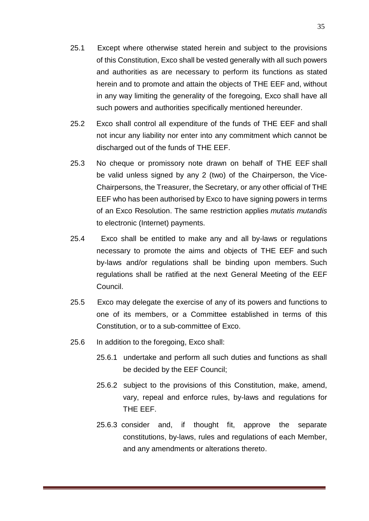- 25.1 Except where otherwise stated herein and subject to the provisions of this Constitution, Exco shall be vested generally with all such powers and authorities as are necessary to perform its functions as stated herein and to promote and attain the objects of THE EEF and, without in any way limiting the generality of the foregoing, Exco shall have all such powers and authorities specifically mentioned hereunder.
- 25.2 Exco shall control all expenditure of the funds of THE EEF and shall not incur any liability nor enter into any commitment which cannot be discharged out of the funds of THE EEF.
- 25.3 No cheque or promissory note drawn on behalf of THE EEF shall be valid unless signed by any 2 (two) of the Chairperson, the Vice-Chairpersons, the Treasurer, the Secretary, or any other official of THE EEF who has been authorised by Exco to have signing powers in terms of an Exco Resolution. The same restriction applies *mutatis mutandis* to electronic (Internet) payments.
- 25.4 Exco shall be entitled to make any and all by-laws or regulations necessary to promote the aims and objects of THE EEF and such by-laws and/or regulations shall be binding upon members. Such regulations shall be ratified at the next General Meeting of the EEF Council.
- 25.5 Exco may delegate the exercise of any of its powers and functions to one of its members, or a Committee established in terms of this Constitution, or to a sub-committee of Exco.
- 25.6 In addition to the foregoing, Exco shall:
	- 25.6.1 undertake and perform all such duties and functions as shall be decided by the EEF Council;
	- 25.6.2 subject to the provisions of this Constitution, make, amend, vary, repeal and enforce rules, by-laws and regulations for THE EEF.
	- 25.6.3 consider and, if thought fit, approve the separate constitutions, by-laws, rules and regulations of each Member, and any amendments or alterations thereto.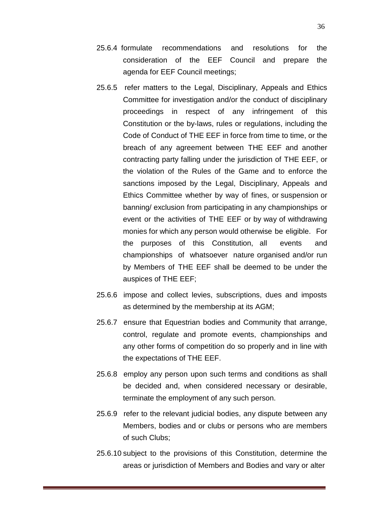- 25.6.4 formulate recommendations and resolutions for the consideration of the EEF Council and prepare the agenda for EEF Council meetings;
- 25.6.5 refer matters to the Legal, Disciplinary, Appeals and Ethics Committee for investigation and/or the conduct of disciplinary proceedings in respect of any infringement of this Constitution or the by-laws, rules or regulations, including the Code of Conduct of THE EEF in force from time to time, or the breach of any agreement between THE EEF and another contracting party falling under the jurisdiction of THE EEF, or the violation of the Rules of the Game and to enforce the sanctions imposed by the Legal, Disciplinary, Appeals and Ethics Committee whether by way of fines, or suspension or banning/ exclusion from participating in any championships or event or the activities of THE EEF or by way of withdrawing monies for which any person would otherwise be eligible. For the purposes of this Constitution, all events and championships of whatsoever nature organised and/or run by Members of THE EEF shall be deemed to be under the auspices of THE EEF;
- 25.6.6 impose and collect levies, subscriptions, dues and imposts as determined by the membership at its AGM;
- 25.6.7 ensure that Equestrian bodies and Community that arrange, control, regulate and promote events, championships and any other forms of competition do so properly and in line with the expectations of THE EEF.
- 25.6.8 employ any person upon such terms and conditions as shall be decided and, when considered necessary or desirable, terminate the employment of any such person.
- 25.6.9 refer to the relevant judicial bodies, any dispute between any Members, bodies and or clubs or persons who are members of such Clubs;
- 25.6.10 subject to the provisions of this Constitution, determine the areas or jurisdiction of Members and Bodies and vary or alter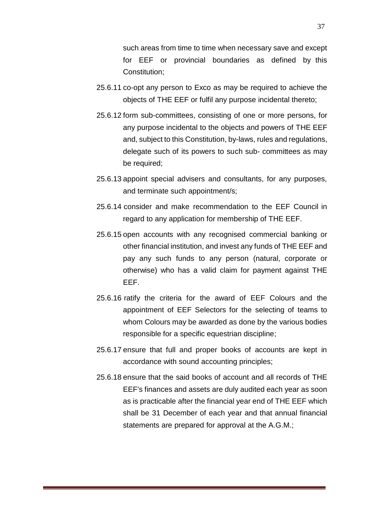such areas from time to time when necessary save and except for EEF or provincial boundaries as defined by this Constitution;

- 25.6.11 co-opt any person to Exco as may be required to achieve the objects of THE EEF or fulfil any purpose incidental thereto;
- 25.6.12 form sub-committees, consisting of one or more persons, for any purpose incidental to the objects and powers of THE EEF and, subject to this Constitution, by-laws, rules and regulations, delegate such of its powers to such sub- committees as may be required;
- 25.6.13 appoint special advisers and consultants, for any purposes, and terminate such appointment/s;
- 25.6.14 consider and make recommendation to the EEF Council in regard to any application for membership of THE EEF.
- 25.6.15 open accounts with any recognised commercial banking or other financial institution, and invest any funds of THE EEF and pay any such funds to any person (natural, corporate or otherwise) who has a valid claim for payment against THE EEF.
- 25.6.16 ratify the criteria for the award of EEF Colours and the appointment of EEF Selectors for the selecting of teams to whom Colours may be awarded as done by the various bodies responsible for a specific equestrian discipline;
- 25.6.17 ensure that full and proper books of accounts are kept in accordance with sound accounting principles;
- 25.6.18 ensure that the said books of account and all records of THE EEF's finances and assets are duly audited each year as soon as is practicable after the financial year end of THE EEF which shall be 31 December of each year and that annual financial statements are prepared for approval at the A.G.M.;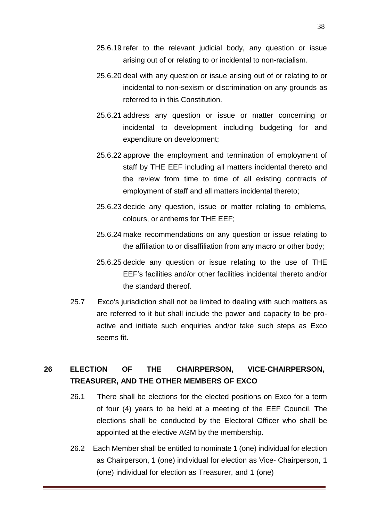- 25.6.19 refer to the relevant judicial body, any question or issue arising out of or relating to or incidental to non-racialism.
- 25.6.20 deal with any question or issue arising out of or relating to or incidental to non-sexism or discrimination on any grounds as referred to in this Constitution.
- 25.6.21 address any question or issue or matter concerning or incidental to development including budgeting for and expenditure on development;
- 25.6.22 approve the employment and termination of employment of staff by THE EEF including all matters incidental thereto and the review from time to time of all existing contracts of employment of staff and all matters incidental thereto;
- 25.6.23 decide any question, issue or matter relating to emblems, colours, or anthems for THE EEF;
- 25.6.24 make recommendations on any question or issue relating to the affiliation to or disaffiliation from any macro or other body;
- 25.6.25 decide any question or issue relating to the use of THE EEF's facilities and/or other facilities incidental thereto and/or the standard thereof.
- 25.7 Exco's jurisdiction shall not be limited to dealing with such matters as are referred to it but shall include the power and capacity to be proactive and initiate such enquiries and/or take such steps as Exco seems fit.

# **26 ELECTION OF THE CHAIRPERSON, VICE-CHAIRPERSON, TREASURER, AND THE OTHER MEMBERS OF EXCO**

- 26.1 There shall be elections for the elected positions on Exco for a term of four (4) years to be held at a meeting of the EEF Council. The elections shall be conducted by the Electoral Officer who shall be appointed at the elective AGM by the membership.
- 26.2 Each Member shall be entitled to nominate 1 (one) individual for election as Chairperson, 1 (one) individual for election as Vice- Chairperson, 1 (one) individual for election as Treasurer, and 1 (one)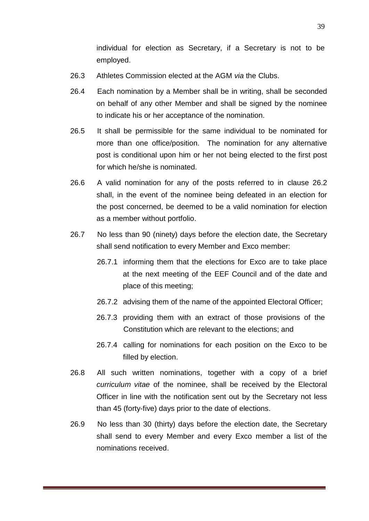individual for election as Secretary, if a Secretary is not to be employed.

- 26.3 Athletes Commission elected at the AGM *via* the Clubs.
- 26.4 Each nomination by a Member shall be in writing, shall be seconded on behalf of any other Member and shall be signed by the nominee to indicate his or her acceptance of the nomination.
- 26.5 It shall be permissible for the same individual to be nominated for more than one office/position. The nomination for any alternative post is conditional upon him or her not being elected to the first post for which he/she is nominated.
- 26.6 A valid nomination for any of the posts referred to in clause 26.2 shall, in the event of the nominee being defeated in an election for the post concerned, be deemed to be a valid nomination for election as a member without portfolio.
- 26.7 No less than 90 (ninety) days before the election date, the Secretary shall send notification to every Member and Exco member:
	- 26.7.1 informing them that the elections for Exco are to take place at the next meeting of the EEF Council and of the date and place of this meeting;
	- 26.7.2 advising them of the name of the appointed Electoral Officer;
	- 26.7.3 providing them with an extract of those provisions of the Constitution which are relevant to the elections; and
	- 26.7.4 calling for nominations for each position on the Exco to be filled by election.
- 26.8 All such written nominations, together with a copy of a brief *curriculum vitae* of the nominee, shall be received by the Electoral Officer in line with the notification sent out by the Secretary not less than 45 (forty-five) days prior to the date of elections.
- 26.9 No less than 30 (thirty) days before the election date, the Secretary shall send to every Member and every Exco member a list of the nominations received.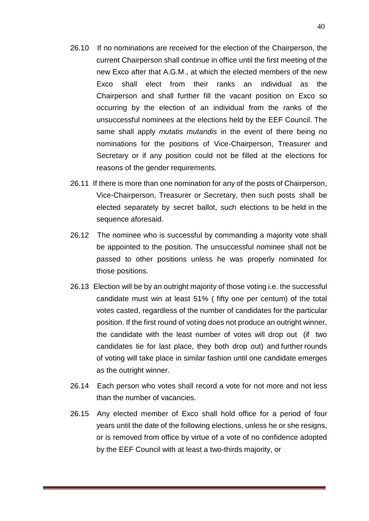- 26.10 If no nominations are received for the election of the Chairperson, the current Chairperson shall continue in office until the first meeting of the new Exco after that A.G.M., at which the elected members of the new Exco shall elect from their ranks an individual as the Chairperson and shall further fill the vacant position on Exco so occurring by the election of an individual from the ranks of the unsuccessful nominees at the elections held by the EEF Council. The same shall apply *mutatis mutandis* in the event of there being no nominations for the positions of Vice-Chairperson, Treasurer and Secretary or if any position could not be filled at the elections for reasons of the gender requirements.
- 26.11 If there is more than one nomination for any of the posts of Chairperson, Vice-Chairperson, Treasurer or Secretary, then such posts shall be elected separately by secret ballot, such elections to be held in the sequence aforesaid.
- 26.12 The nominee who is successful by commanding a majority vote shall be appointed to the position. The unsuccessful nominee shall not be passed to other positions unless he was properly nominated for those positions.
- 26.13 Election will be by an outright majority of those voting i.e. the successful candidate must win at least 51% ( fifty one per centum) of the total votes casted, regardless of the number of candidates for the particular position. If the first round of voting does not produce an outright winner, the candidate with the least number of votes will drop out (if two candidates tie for last place, they both drop out) and further rounds of voting will take place in similar fashion until one candidate emerges as the outright winner.
- 26.14 Each person who votes shall record a vote for not more and not less than the number of vacancies.
- 26.15 Any elected member of Exco shall hold office for a period of four years until the date of the following elections, unless he or she resigns, or is removed from office by virtue of a vote of no confidence adopted by the EEF Council with at least a two-thirds majority, or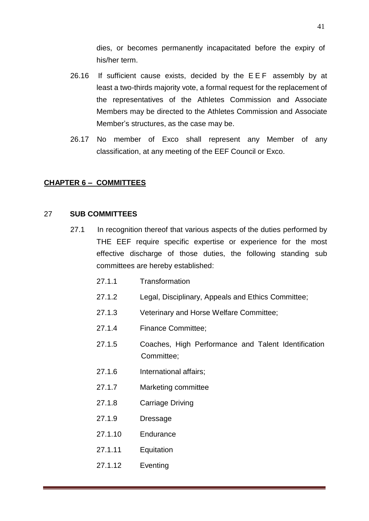dies, or becomes permanently incapacitated before the expiry of his/her term.

- 26.16 If sufficient cause exists, decided by the EEF assembly by at least a two-thirds majority vote, a formal request for the replacement of the representatives of the Athletes Commission and Associate Members may be directed to the Athletes Commission and Associate Member's structures, as the case may be.
- 26.17 No member of Exco shall represent any Member of any classification, at any meeting of the EEF Council or Exco.

## **CHAPTER 6 – COMMITTEES**

## 27 **SUB COMMITTEES**

- 27.1 In recognition thereof that various aspects of the duties performed by THE EEF require specific expertise or experience for the most effective discharge of those duties, the following standing sub committees are hereby established:
	- 27.1.1 Transformation
	- 27.1.2 Legal, Disciplinary, Appeals and Ethics Committee;
	- 27.1.3 Veterinary and Horse Welfare Committee;
	- 27.1.4 Finance Committee;
	- 27.1.5 Coaches, High Performance and Talent Identification Committee;
	- 27.1.6 International affairs;
	- 27.1.7 Marketing committee
	- 27.1.8 Carriage Driving
	- 27.1.9 Dressage
	- 27.1.10 Endurance
	- 27.1.11 Equitation
	- 27.1.12 Eventing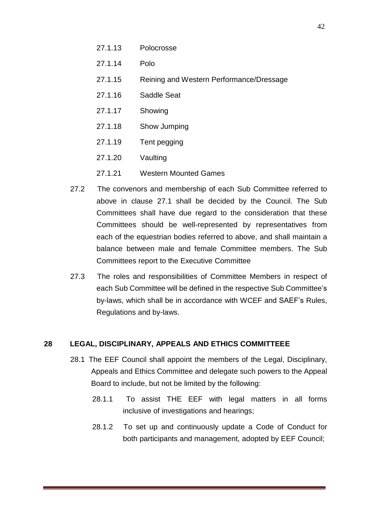- 27.1.13 Polocrosse
- 27.1.14 Polo
- 27.1.15 Reining and Western Performance/Dressage
- 27.1.16 Saddle Seat
- 27.1.17 Showing
- 27.1.18 Show Jumping
- 27.1.19 Tent pegging
- 27.1.20 Vaulting
- 27.1.21 Western Mounted Games
- 27.2 The convenors and membership of each Sub Committee referred to above in clause 27.1 shall be decided by the Council. The Sub Committees shall have due regard to the consideration that these Committees should be well-represented by representatives from each of the equestrian bodies referred to above, and shall maintain a balance between male and female Committee members. The Sub Committees report to the Executive Committee
- 27.3 The roles and responsibilities of Committee Members in respect of each Sub Committee will be defined in the respective Sub Committee's by-laws, which shall be in accordance with WCEF and SAEF's Rules, Regulations and by-laws.

#### **28 LEGAL, DISCIPLINARY, APPEALS AND ETHICS COMMITTEEE**

- 28.1 The EEF Council shall appoint the members of the Legal, Disciplinary, Appeals and Ethics Committee and delegate such powers to the Appeal Board to include, but not be limited by the following:
	- 28.1.1 To assist THE EEF with legal matters in all forms inclusive of investigations and hearings;
	- 28.1.2 To set up and continuously update a Code of Conduct for both participants and management, adopted by EEF Council;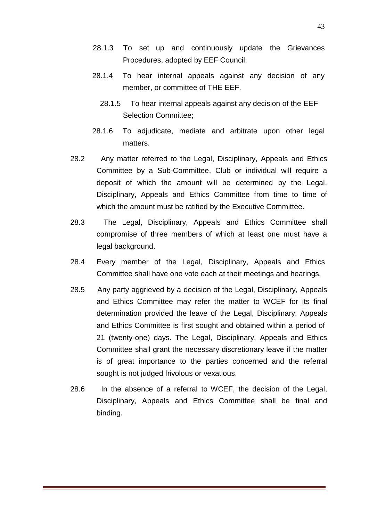- 28.1.3 To set up and continuously update the Grievances Procedures, adopted by EEF Council;
- 28.1.4 To hear internal appeals against any decision of any member, or committee of THE EEF.
	- 28.1.5 To hear internal appeals against any decision of the EEF Selection Committee;
- 28.1.6 To adjudicate, mediate and arbitrate upon other legal matters.
- 28.2 Any matter referred to the Legal, Disciplinary, Appeals and Ethics Committee by a Sub-Committee, Club or individual will require a deposit of which the amount will be determined by the Legal, Disciplinary, Appeals and Ethics Committee from time to time of which the amount must be ratified by the Executive Committee.
- 28.3 The Legal, Disciplinary, Appeals and Ethics Committee shall compromise of three members of which at least one must have a legal background.
- 28.4 Every member of the Legal, Disciplinary, Appeals and Ethics Committee shall have one vote each at their meetings and hearings.
- 28.5 Any party aggrieved by a decision of the Legal, Disciplinary, Appeals and Ethics Committee may refer the matter to WCEF for its final determination provided the leave of the Legal, Disciplinary, Appeals and Ethics Committee is first sought and obtained within a period of 21 (twenty-one) days. The Legal, Disciplinary, Appeals and Ethics Committee shall grant the necessary discretionary leave if the matter is of great importance to the parties concerned and the referral sought is not judged frivolous or vexatious.
- 28.6 In the absence of a referral to WCEF, the decision of the Legal, Disciplinary, Appeals and Ethics Committee shall be final and binding.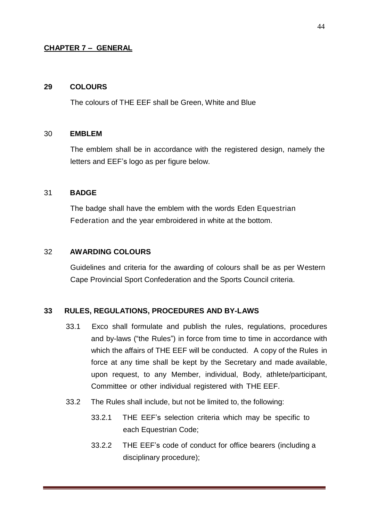#### **29 COLOURS**

The colours of THE EEF shall be Green, White and Blue

#### 30 **EMBLEM**

The emblem shall be in accordance with the registered design, namely the letters and EEF's logo as per figure below.

#### 31 **BADGE**

The badge shall have the emblem with the words Eden Equestrian Federation and the year embroidered in white at the bottom.

#### 32 **AWARDING COLOURS**

Guidelines and criteria for the awarding of colours shall be as per Western Cape Provincial Sport Confederation and the Sports Council criteria.

#### **33 RULES, REGULATIONS, PROCEDURES AND BY-LAWS**

- 33.1 Exco shall formulate and publish the rules, regulations, procedures and by-laws ("the Rules") in force from time to time in accordance with which the affairs of THE EEF will be conducted. A copy of the Rules in force at any time shall be kept by the Secretary and made available, upon request, to any Member, individual, Body, athlete/participant, Committee or other individual registered with THE EEF.
- 33.2 The Rules shall include, but not be limited to, the following:
	- 33.2.1 THE EEF's selection criteria which may be specific to each Equestrian Code;
	- 33.2.2 THE EEF's code of conduct for office bearers (including a disciplinary procedure);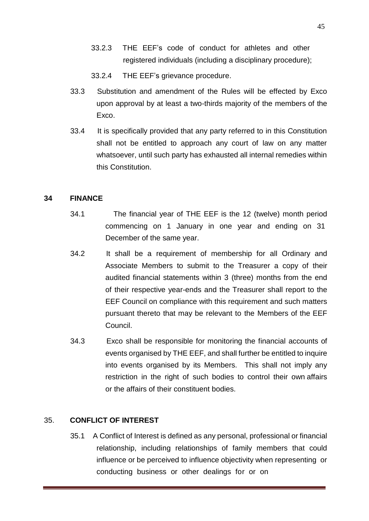- 33.2.3 THE EEF's code of conduct for athletes and other registered individuals (including a disciplinary procedure);
- 33.2.4 THE EEF's grievance procedure.
- 33.3 Substitution and amendment of the Rules will be effected by Exco upon approval by at least a two-thirds majority of the members of the Exco.
- 33.4 It is specifically provided that any party referred to in this Constitution shall not be entitled to approach any court of law on any matter whatsoever, until such party has exhausted all internal remedies within this Constitution.

#### **34 FINANCE**

- 34.1 The financial year of THE EEF is the 12 (twelve) month period commencing on 1 January in one year and ending on 31 December of the same year.
- 34.2 It shall be a requirement of membership for all Ordinary and Associate Members to submit to the Treasurer a copy of their audited financial statements within 3 (three) months from the end of their respective year-ends and the Treasurer shall report to the EEF Council on compliance with this requirement and such matters pursuant thereto that may be relevant to the Members of the EEF Council.
- 34.3 Exco shall be responsible for monitoring the financial accounts of events organised by THE EEF, and shall further be entitled to inquire into events organised by its Members. This shall not imply any restriction in the right of such bodies to control their own affairs or the affairs of their constituent bodies.

## 35. **CONFLICT OF INTEREST**

35.1 A Conflict of Interest is defined as any personal, professional or financial relationship, including relationships of family members that could influence or be perceived to influence objectivity when representing or conducting business or other dealings for or on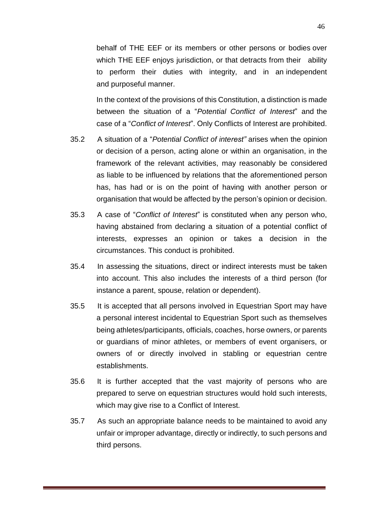behalf of THE EEF or its members or other persons or bodies over which THE EEF enjoys jurisdiction, or that detracts from their ability to perform their duties with integrity, and in an independent and purposeful manner.

In the context of the provisions of this Constitution, a distinction is made between the situation of a "*Potential Conflict of Interest*" and the case of a "*Conflict of Interest*". Only Conflicts of Interest are prohibited.

- 35.2 A situation of a "*Potential Conflict of interest"* arises when the opinion or decision of a person, acting alone or within an organisation, in the framework of the relevant activities, may reasonably be considered as liable to be influenced by relations that the aforementioned person has, has had or is on the point of having with another person or organisation that would be affected by the person's opinion or decision.
- 35.3 A case of "*Conflict of Interest*" is constituted when any person who, having abstained from declaring a situation of a potential conflict of interests, expresses an opinion or takes a decision in the circumstances. This conduct is prohibited.
- 35.4 In assessing the situations, direct or indirect interests must be taken into account. This also includes the interests of a third person (for instance a parent, spouse, relation or dependent).
- 35.5 It is accepted that all persons involved in Equestrian Sport may have a personal interest incidental to Equestrian Sport such as themselves being athletes/participants, officials, coaches, horse owners, or parents or guardians of minor athletes, or members of event organisers, or owners of or directly involved in stabling or equestrian centre establishments.
- 35.6 It is further accepted that the vast majority of persons who are prepared to serve on equestrian structures would hold such interests, which may give rise to a Conflict of Interest.
- 35.7 As such an appropriate balance needs to be maintained to avoid any unfair or improper advantage, directly or indirectly, to such persons and third persons.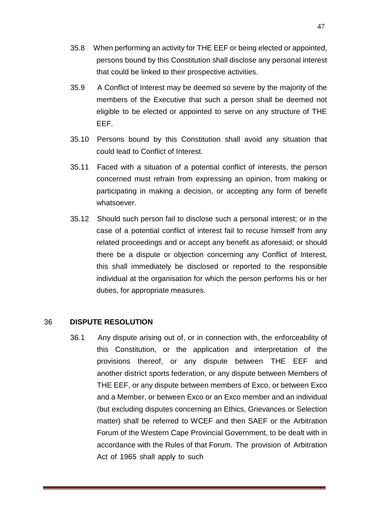- 35.8 When performing an activity for THE EEF or being elected or appointed, persons bound by this Constitution shall disclose any personal interest that could be linked to their prospective activities.
- 35.9 A Conflict of Interest may be deemed so severe by the majority of the members of the Executive that such a person shall be deemed not eligible to be elected or appointed to serve on any structure of THE EEF.
- 35.10 Persons bound by this Constitution shall avoid any situation that could lead to Conflict of Interest.
- 35.11 Faced with a situation of a potential conflict of interests, the person concerned must refrain from expressing an opinion, from making or participating in making a decision, or accepting any form of benefit whatsoever.
- 35.12 Should such person fail to disclose such a personal interest; or in the case of a potential conflict of interest fail to recuse himself from any related proceedings and or accept any benefit as aforesaid; or should there be a dispute or objection concerning any Conflict of Interest, this shall immediately be disclosed or reported to the responsible individual at the organisation for which the person performs his or her duties, for appropriate measures.

## 36 **DISPUTE RESOLUTION**

36.1 Any dispute arising out of, or in connection with, the enforceability of this Constitution, or the application and interpretation of the provisions thereof, or any dispute between THE EEF and another district sports federation, or any dispute between Members of THE EEF, or any dispute between members of Exco, or between Exco and a Member, or between Exco or an Exco member and an individual (but excluding disputes concerning an Ethics, Grievances or Selection matter) shall be referred to WCEF and then SAEF or the Arbitration Forum of the Western Cape Provincial Government, to be dealt with in accordance with the Rules of that Forum. The provision of Arbitration Act of 1965 shall apply to such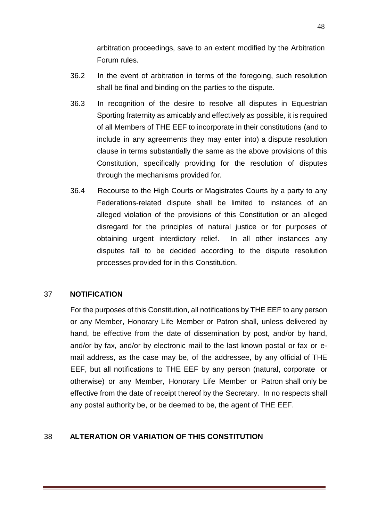arbitration proceedings, save to an extent modified by the Arbitration Forum rules.

- 36.2 In the event of arbitration in terms of the foregoing, such resolution shall be final and binding on the parties to the dispute.
- 36.3 In recognition of the desire to resolve all disputes in Equestrian Sporting fraternity as amicably and effectively as possible, it is required of all Members of THE EEF to incorporate in their constitutions (and to include in any agreements they may enter into) a dispute resolution clause in terms substantially the same as the above provisions of this Constitution, specifically providing for the resolution of disputes through the mechanisms provided for.
- 36.4 Recourse to the High Courts or Magistrates Courts by a party to any Federations-related dispute shall be limited to instances of an alleged violation of the provisions of this Constitution or an alleged disregard for the principles of natural justice or for purposes of obtaining urgent interdictory relief. In all other instances any disputes fall to be decided according to the dispute resolution processes provided for in this Constitution.

## 37 **NOTIFICATION**

For the purposes of this Constitution, all notifications by THE EEF to any person or any Member, Honorary Life Member or Patron shall, unless delivered by hand, be effective from the date of dissemination by post, and/or by hand, and/or by fax, and/or by electronic mail to the last known postal or fax or email address, as the case may be, of the addressee, by any official of THE EEF, but all notifications to THE EEF by any person (natural, corporate or otherwise) or any Member, Honorary Life Member or Patron shall only be effective from the date of receipt thereof by the Secretary. In no respects shall any postal authority be, or be deemed to be, the agent of THE EEF.

## 38 **ALTERATION OR VARIATION OF THIS CONSTITUTION**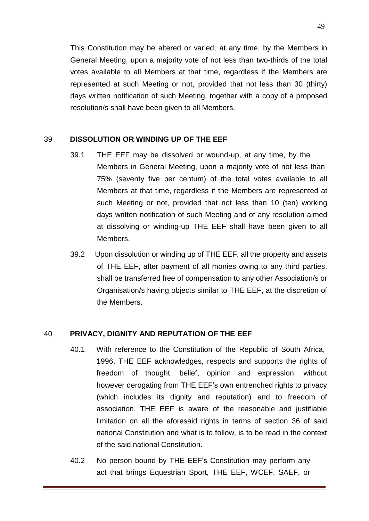This Constitution may be altered or varied, at any time, by the Members in General Meeting, upon a majority vote of not less than two-thirds of the total votes available to all Members at that time, regardless if the Members are represented at such Meeting or not, provided that not less than 30 (thirty) days written notification of such Meeting, together with a copy of a proposed resolution/s shall have been given to all Members.

## 39 **DISSOLUTION OR WINDING UP OF THE EEF**

- 39.1 THE EEF may be dissolved or wound-up, at any time, by the Members in General Meeting, upon a majority vote of not less than 75% (seventy five per centum) of the total votes available to all Members at that time, regardless if the Members are represented at such Meeting or not, provided that not less than 10 (ten) working days written notification of such Meeting and of any resolution aimed at dissolving or winding-up THE EEF shall have been given to all Members.
- 39.2 Upon dissolution or winding up of THE EEF, all the property and assets of THE EEF, after payment of all monies owing to any third parties, shall be transferred free of compensation to any other Association/s or Organisation/s having objects similar to THE EEF, at the discretion of the Members.

## 40 **PRIVACY, DIGNITY AND REPUTATION OF THE EEF**

- 40.1 With reference to the Constitution of the Republic of South Africa, 1996, THE EEF acknowledges, respects and supports the rights of freedom of thought, belief, opinion and expression, without however derogating from THE EEF's own entrenched rights to privacy (which includes its dignity and reputation) and to freedom of association. THE EEF is aware of the reasonable and justifiable limitation on all the aforesaid rights in terms of section 36 of said national Constitution and what is to follow, is to be read in the context of the said national Constitution.
- 40.2 No person bound by THE EEF's Constitution may perform any act that brings Equestrian Sport, THE EEF, WCEF, SAEF, or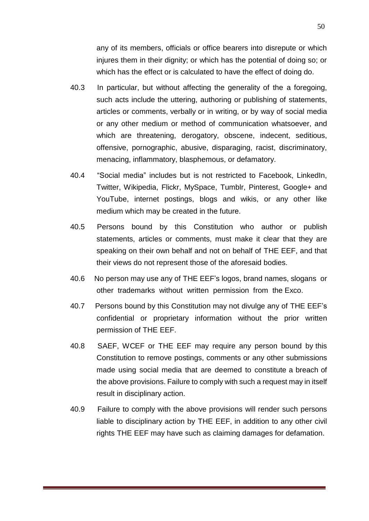any of its members, officials or office bearers into disrepute or which injures them in their dignity; or which has the potential of doing so; or which has the effect or is calculated to have the effect of doing do.

- 40.3 In particular, but without affecting the generality of the a foregoing, such acts include the uttering, authoring or publishing of statements, articles or comments, verbally or in writing, or by way of social media or any other medium or method of communication whatsoever, and which are threatening, derogatory, obscene, indecent, seditious, offensive, pornographic, abusive, disparaging, racist, discriminatory, menacing, inflammatory, blasphemous, or defamatory.
- 40.4 "Social media" includes but is not restricted to Facebook, LinkedIn, Twitter, Wikipedia, Flickr, MySpace, Tumblr, Pinterest, Google+ and YouTube, internet postings, blogs and wikis, or any other like medium which may be created in the future.
- 40.5 Persons bound by this Constitution who author or publish statements, articles or comments, must make it clear that they are speaking on their own behalf and not on behalf of THE EEF, and that their views do not represent those of the aforesaid bodies.
- 40.6 No person may use any of THE EEF's logos, brand names, slogans or other trademarks without written permission from the Exco.
- 40.7 Persons bound by this Constitution may not divulge any of THE EEF's confidential or proprietary information without the prior written permission of THE EEF.
- 40.8 SAEF, WCEF or THE EEF may require any person bound by this Constitution to remove postings, comments or any other submissions made using social media that are deemed to constitute a breach of the above provisions. Failure to comply with such a request may in itself result in disciplinary action.
- 40.9 Failure to comply with the above provisions will render such persons liable to disciplinary action by THE EEF, in addition to any other civil rights THE EEF may have such as claiming damages for defamation.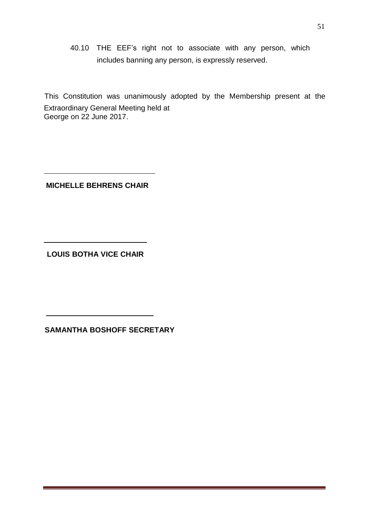40.10 THE EEF's right not to associate with any person, which includes banning any person, is expressly reserved.

This Constitution was unanimously adopted by the Membership present at the Extraordinary General Meeting held at George on 22 June 2017.

**MICHELLE BEHRENS CHAIR**

 **LOUIS BOTHA VICE CHAIR** 

 **SAMANTHA BOSHOFF SECRETARY**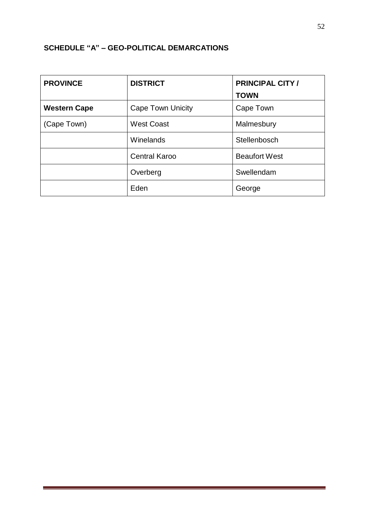# **SCHEDULE "A" – GEO-POLITICAL DEMARCATIONS**

| <b>PROVINCE</b>     | <b>DISTRICT</b>          | <b>PRINCIPAL CITY /</b><br><b>TOWN</b> |
|---------------------|--------------------------|----------------------------------------|
| <b>Western Cape</b> | <b>Cape Town Unicity</b> | Cape Town                              |
| (Cape Town)         | <b>West Coast</b>        | Malmesbury                             |
|                     | Winelands                | Stellenbosch                           |
|                     | <b>Central Karoo</b>     | <b>Beaufort West</b>                   |
|                     | Overberg                 | Swellendam                             |
|                     | Eden                     | George                                 |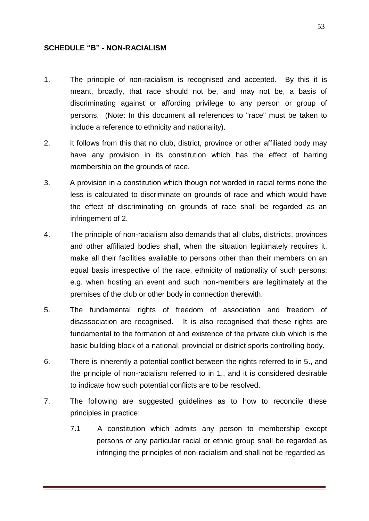## **SCHEDULE "B" - NON-RACIALISM**

- 1. The principle of non-racialism is recognised and accepted. By this it is meant, broadly, that race should not be, and may not be, a basis of discriminating against or affording privilege to any person or group of persons. (Note: In this document all references to "race" must be taken to include a reference to ethnicity and nationality).
- 2. It follows from this that no club, district, province or other affiliated body may have any provision in its constitution which has the effect of barring membership on the grounds of race.
- 3. A provision in a constitution which though not worded in racial terms none the less is calculated to discriminate on grounds of race and which would have the effect of discriminating on grounds of race shall be regarded as an infringement of 2.
- 4. The principle of non-racialism also demands that all clubs, districts, provinces and other affiliated bodies shall, when the situation legitimately requires it, make all their facilities available to persons other than their members on an equal basis irrespective of the race, ethnicity of nationality of such persons; e.g. when hosting an event and such non-members are legitimately at the premises of the club or other body in connection therewith.
- 5. The fundamental rights of freedom of association and freedom of disassociation are recognised. It is also recognised that these rights are fundamental to the formation of and existence of the private club which is the basic building block of a national, provincial or district sports controlling body.
- 6. There is inherently a potential conflict between the rights referred to in 5., and the principle of non-racialism referred to in 1., and it is considered desirable to indicate how such potential conflicts are to be resolved.
- 7. The following are suggested guidelines as to how to reconcile these principles in practice:
	- 7.1 A constitution which admits any person to membership except persons of any particular racial or ethnic group shall be regarded as infringing the principles of non-racialism and shall not be regarded as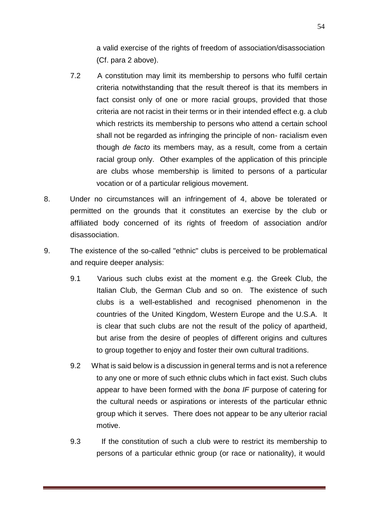a valid exercise of the rights of freedom of association/disassociation (Cf. para 2 above).

- 7.2 A constitution may limit its membership to persons who fulfil certain criteria notwithstanding that the result thereof is that its members in fact consist only of one or more racial groups, provided that those criteria are not racist in their terms or in their intended effect e.g. a club which restricts its membership to persons who attend a certain school shall not be regarded as infringing the principle of non- racialism even though *de facto* its members may, as a result, come from a certain racial group only. Other examples of the application of this principle are clubs whose membership is limited to persons of a particular vocation or of a particular religious movement.
- 8. Under no circumstances will an infringement of 4, above be tolerated or permitted on the grounds that it constitutes an exercise by the club or affiliated body concerned of its rights of freedom of association and/or disassociation.
- 9. The existence of the so-called "ethnic" clubs is perceived to be problematical and require deeper analysis:
	- 9.1 Various such clubs exist at the moment e.g. the Greek Club, the Italian Club, the German Club and so on. The existence of such clubs is a well-established and recognised phenomenon in the countries of the United Kingdom, Western Europe and the U.S.A. It is clear that such clubs are not the result of the policy of apartheid, but arise from the desire of peoples of different origins and cultures to group together to enjoy and foster their own cultural traditions.
	- 9.2 What is said below is a discussion in general terms and is not a reference to any one or more of such ethnic clubs which in fact exist. Such clubs appear to have been formed with the *bona IF* purpose of catering for the cultural needs or aspirations or interests of the particular ethnic group which it serves. There does not appear to be any ulterior racial motive.
	- 9.3 If the constitution of such a club were to restrict its membership to persons of a particular ethnic group (or race or nationality), it would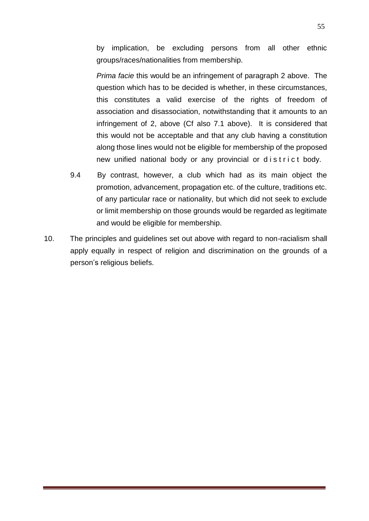by implication, be excluding persons from all other ethnic groups/races/nationalities from membership.

*Prima facie* this would be an infringement of paragraph 2 above. The question which has to be decided is whether, in these circumstances, this constitutes a valid exercise of the rights of freedom of association and disassociation, notwithstanding that it amounts to an infringement of 2, above (Cf also 7.1 above). It is considered that this would not be acceptable and that any club having a constitution along those lines would not be eligible for membership of the proposed new unified national body or any provincial or district body.

- 9.4 By contrast, however, a club which had as its main object the promotion, advancement, propagation etc. of the culture, traditions etc. of any particular race or nationality, but which did not seek to exclude or limit membership on those grounds would be regarded as legitimate and would be eligible for membership.
- 10. The principles and guidelines set out above with regard to non-racialism shall apply equally in respect of religion and discrimination on the grounds of a person's religious beliefs.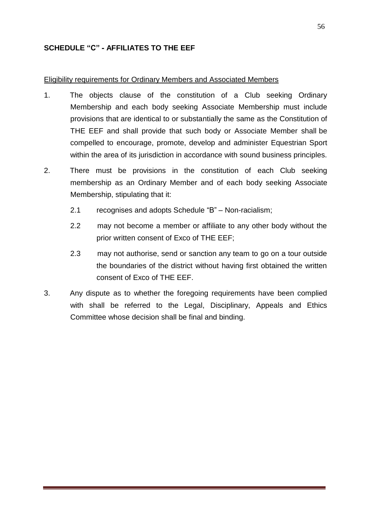# **SCHEDULE "C" - AFFILIATES TO THE EEF**

#### Eligibility requirements for Ordinary Members and Associated Members

- 1. The objects clause of the constitution of a Club seeking Ordinary Membership and each body seeking Associate Membership must include provisions that are identical to or substantially the same as the Constitution of THE EEF and shall provide that such body or Associate Member shall be compelled to encourage, promote, develop and administer Equestrian Sport within the area of its jurisdiction in accordance with sound business principles.
- 2. There must be provisions in the constitution of each Club seeking membership as an Ordinary Member and of each body seeking Associate Membership, stipulating that it:
	- 2.1 recognises and adopts Schedule "B" Non-racialism;
	- 2.2 may not become a member or affiliate to any other body without the prior written consent of Exco of THE EEF;
	- 2.3 may not authorise, send or sanction any team to go on a tour outside the boundaries of the district without having first obtained the written consent of Exco of THE EEF.
- 3. Any dispute as to whether the foregoing requirements have been complied with shall be referred to the Legal, Disciplinary, Appeals and Ethics Committee whose decision shall be final and binding.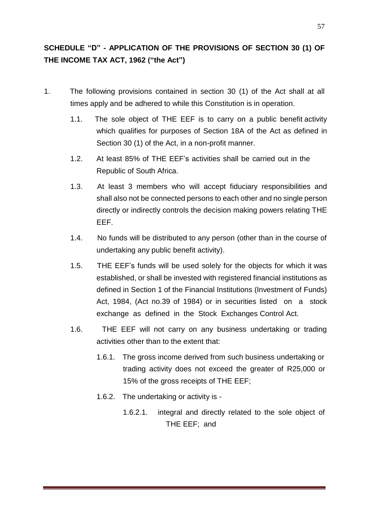# **SCHEDULE "D" - APPLICATION OF THE PROVISIONS OF SECTION 30 (1) OF THE INCOME TAX ACT, 1962 ("the Act")**

- 1. The following provisions contained in section 30 (1) of the Act shall at all times apply and be adhered to while this Constitution is in operation.
	- 1.1. The sole object of THE EEF is to carry on a public benefit activity which qualifies for purposes of Section 18A of the Act as defined in Section 30 (1) of the Act, in a non-profit manner.
	- 1.2. At least 85% of THE EEF's activities shall be carried out in the Republic of South Africa.
	- 1.3. At least 3 members who will accept fiduciary responsibilities and shall also not be connected persons to each other and no single person directly or indirectly controls the decision making powers relating THE EEF.
	- 1.4. No funds will be distributed to any person (other than in the course of undertaking any public benefit activity).
	- 1.5. THE EEF's funds will be used solely for the objects for which it was established, or shall be invested with registered financial institutions as defined in Section 1 of the Financial Institutions (Investment of Funds) Act, 1984, (Act no.39 of 1984) or in securities listed on a stock exchange as defined in the Stock Exchanges Control Act.
	- 1.6. THE EEF will not carry on any business undertaking or trading activities other than to the extent that:
		- 1.6.1. The gross income derived from such business undertaking or trading activity does not exceed the greater of R25,000 or 15% of the gross receipts of THE EEF;
		- 1.6.2. The undertaking or activity is
			- 1.6.2.1. integral and directly related to the sole object of THE EEF; and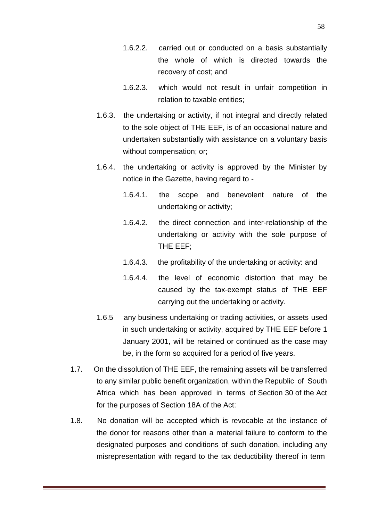- 1.6.2.2. carried out or conducted on a basis substantially the whole of which is directed towards the recovery of cost; and
- 1.6.2.3. which would not result in unfair competition in relation to taxable entities;
- 1.6.3. the undertaking or activity, if not integral and directly related to the sole object of THE EEF, is of an occasional nature and undertaken substantially with assistance on a voluntary basis without compensation; or;
- 1.6.4. the undertaking or activity is approved by the Minister by notice in the Gazette, having regard to -
	- 1.6.4.1. the scope and benevolent nature of the undertaking or activity;
	- 1.6.4.2. the direct connection and inter-relationship of the undertaking or activity with the sole purpose of THE EEF;
	- 1.6.4.3. the profitability of the undertaking or activity: and
	- 1.6.4.4. the level of economic distortion that may be caused by the tax-exempt status of THE EEF carrying out the undertaking or activity.
- 1.6.5 any business undertaking or trading activities, or assets used in such undertaking or activity, acquired by THE EEF before 1 January 2001, will be retained or continued as the case may be, in the form so acquired for a period of five years.
- 1.7. On the dissolution of THE EEF, the remaining assets will be transferred to any similar public benefit organization, within the Republic of South Africa which has been approved in terms of Section 30 of the Act for the purposes of Section 18A of the Act:
- 1.8. No donation will be accepted which is revocable at the instance of the donor for reasons other than a material failure to conform to the designated purposes and conditions of such donation, including any misrepresentation with regard to the tax deductibility thereof in term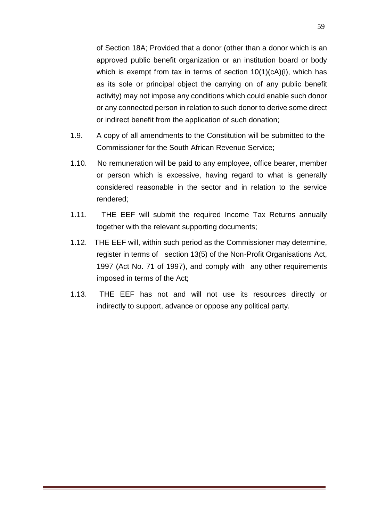of Section 18A; Provided that a donor (other than a donor which is an approved public benefit organization or an institution board or body which is exempt from tax in terms of section 10(1)(cA)(i), which has as its sole or principal object the carrying on of any public benefit activity) may not impose any conditions which could enable such donor or any connected person in relation to such donor to derive some direct or indirect benefit from the application of such donation;

- 1.9. A copy of all amendments to the Constitution will be submitted to the Commissioner for the South African Revenue Service;
- 1.10. No remuneration will be paid to any employee, office bearer, member or person which is excessive, having regard to what is generally considered reasonable in the sector and in relation to the service rendered;
- 1.11. THE EEF will submit the required Income Tax Returns annually together with the relevant supporting documents;
- 1.12. THE EEF will, within such period as the Commissioner may determine, register in terms of section 13(5) of the Non-Profit Organisations Act, 1997 (Act No. 71 of 1997), and comply with any other requirements imposed in terms of the Act;
- 1.13. THE EEF has not and will not use its resources directly or indirectly to support, advance or oppose any political party.